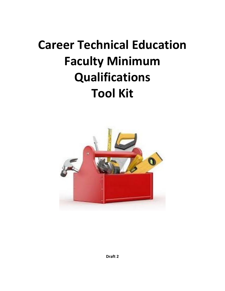# **Career Technical Education Faculty Minimum Qualifications Tool Kit**

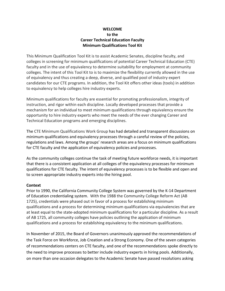## **WELCOME to the Career Technical Education Faculty Minimum Qualifications Tool Kit**

This Minimum Qualification Tool Kit is to assist Academic Senates, discipline faculty, and colleges in screening for minimum qualifications of potential Career Technical Education (CTE) faculty and in the use of equivalency to determine suitability for employment at community colleges. The intent of this Tool Kit to is to maximize the flexibility currently allowed in the use of equivalency and thus creating a deep, diverse, and qualified pool of industry expert candidates for our CTE programs. In addition, the Tool Kit offers other ideas (tools) in addition to equivalency to help colleges hire industry experts.

Minimum qualifications for faculty are essential for promoting professionalism, integrity of instruction, and rigor within each discipline. Locally developed processes that provide a mechanism for an individual to meet minimum qualifications through equivalency ensure the opportunity to hire industry experts who meet the needs of the ever changing Career and Technical Education programs and emerging disciplines.

The CTE Minimum Qualifications Work Group has had detailed and transparent discussions on minimum qualifications and equivalency processes through a careful review of the policies, regulations and laws. Among the groups' research areas are a focus on minimum qualifications for CTE faculty and the application of equivalency policies and processes.

As the community colleges continue the task of meeting future workforce needs, it is important that there is a consistent application at all colleges of the equivalency processes for minimum qualifications for CTE faculty. The intent of equivalency processes is to be flexible and open and to screen appropriate industry experts into the hiring pool.

#### **Context**

Prior to 1990, the California Community College System was governed by the K-14 Department of Education credentialing system. With the 1988 the Community College Reform Act (AB 1725), credentials were phased out in favor of a process for establishing minimum qualifications and a process for determining minimum qualifications via equivalencies that are at least equal to the state-adopted minimum qualifications for a particular discipline. As a result of AB 1725, all community colleges have policies outlining the application of minimum qualifications and a process for establishing equivalency to the minimum qualifications.

In November of 2015, the Board of Governors unanimously approved the recommendations of the Task Force on Workforce, Job Creation and a Strong Economy. One of the seven categories of recommendations centers on CTE faculty, and one of the recommendations spoke directly to the need to improve processes to better include industry experts in hiring pools. Additionally, on more than one occasion delegates to the Academic Senate have passed resolutions asking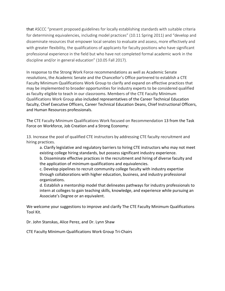that ASCCC "present proposed guidelines for locally establishing standards with suitable criteria for determining equivalencies, including model practices" (10.11 Spring 2011) and "develop and disseminate resources that empower local senates to evaluate and assess, more effectively and with greater flexibility, the qualifications of applicants for faculty positions who have significant professional experience in the field but who have not completed formal academic work in the discipline and/or in general education" (10.05 Fall 2017).

In response to the Strong Work Force recommendations as well as Academic Senate resolutions, the Academic Senate and the Chancellor's Office partnered to establish a CTE Faculty Minimum Qualifications Work Group to clarify and expand on effective practices that may be implemented to broader opportunities for industry experts to be considered qualified as faculty eligible to teach in our classrooms. Members of the CTE Faculty Minimum Qualifications Work Group also included representatives of the Career Technical Education faculty, Chief Executive Officers, Career Technical Education Deans, Chief Instructional Officers, and Human Resources professionals.

The CTE Faculty Minimum Qualifications Work focused on Recommendation 13 from the Task Force on Workforce, Job Creation and a Strong Economy:

13. Increase the pool of qualified CTE instructors by addressing CTE faculty recruitment and hiring practices.

a. Clarify legislative and regulatory barriers to hiring CTE instructors who may not meet existing college hiring standards, but possess significant industry experience.

b. Disseminate effective practices in the recruitment and hiring of diverse faculty and the application of minimum qualifications and equivalencies.

c. Develop pipelines to recruit community college faculty with industry expertise through collaborations with higher education, business, and industry professional organizations.

d. Establish a mentorship model that delineates pathways for industry professionals to intern at colleges to gain teaching skills, knowledge, and experience while pursuing an Associate's Degree or an equivalent.

We welcome your suggestions to improve and clarify The CTE Faculty Minimum Qualifications Tool Kit.

Dr. John Stanskas, Alice Perez, and Dr. Lynn Shaw

CTE Faculty Minimum Qualifications Work Group Tri-Chairs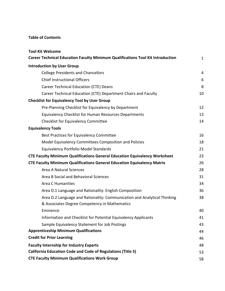## **Table of Contents**

| <b>Tool Kit Welcome</b>                                                                                                   |              |
|---------------------------------------------------------------------------------------------------------------------------|--------------|
| Career Technical Education Faculty Minimum Qualifications Tool Kit Introduction                                           | $\mathbf{1}$ |
| <b>Introduction by User Group</b>                                                                                         |              |
| <b>College Presidents and Chancellors</b>                                                                                 | 4            |
| <b>Chief Instructional Officers</b>                                                                                       | 6            |
| <b>Career Technical Education (CTE) Deans</b>                                                                             | 8            |
| Career Technical Education (CTE) Department Chairs and Faculty                                                            | 10           |
| <b>Checklist for Equivalency Tool by User Group</b>                                                                       |              |
| Pre-Planning Checklist for Equivalency by Department                                                                      | 12           |
| <b>Equivalency Checklist for Human Resources Departments</b>                                                              | 13           |
| <b>Checklist for Equivalency Committee</b>                                                                                | 14           |
| <b>Equivalency Tools</b>                                                                                                  |              |
| Best Practices for Equivalency Committee                                                                                  | 16           |
| Model Equivalency Committees Composition and Policies                                                                     | 18           |
| Equivalency Portfolio Model Standards                                                                                     | 21           |
| <b>CTE Faculty Minimum Qualifications General Education Equivalency Worksheet</b>                                         | 23           |
| <b>CTE Faculty Minimum Qualifications General Education Equivalency Matrix</b>                                            | 26           |
| <b>Area A Natural Sciences</b>                                                                                            | 28           |
| Area B Social and Behavioral Sciences                                                                                     | 31           |
| <b>Area C Humanities</b>                                                                                                  | 34           |
| Area D.1 Language and Rationality: English Composition                                                                    | 36           |
| Area D.2 Language and Rationality: Communication and Analytical Thinking<br>& Associates Degree Competency in Mathematics | 38           |
| Eminence                                                                                                                  | 40           |
| Information and Checklist for Potential Equivalency Applicants                                                            | 41           |
| Sample Equivalency Statement for Job Postings                                                                             | 43           |
| <b>Apprenticeship Minimum Qualifications</b>                                                                              | 44           |
| <b>Credit for Prior Learning</b>                                                                                          | 46           |
| <b>Faculty Internship for Industry Experts</b>                                                                            | 48           |
| <b>California Education Code and Code of Regulations (Title 5)</b>                                                        | 53           |
| <b>CTE Faculty Minimum Qualifications Work Group</b>                                                                      | 58           |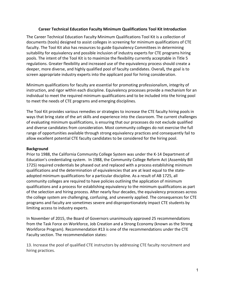#### **Career Technical Education Faculty Minimum Qualifications Tool Kit Introduction**

The Career Technical Education Faculty Minimum Qualifications Tool Kit is a collection of documents (tools) designed to assist colleges in screening for minimum qualifications of CTE faculty. The Tool Kit also has resources to guide Equivalency Committees in determining suitability for equivalency and possible inclusion of industry experts for CTE programs hiring pools. The intent of the Tool Kit is to maximize the flexibility currently acceptable in Title 5 regulations. Greater flexibility and increased use of the equivalency process should create a deeper, more diverse, and highly qualified pool of faculty candidates. Overall*,* the goal is to screen appropriate industry experts into the applicant pool for hiring consideration.

Minimum qualifications for faculty are essential for promoting professionalism, integrity of instruction, and rigor within each discipline. Equivalency processes provide a mechanism for an individual to meet the required minimum qualifications and to be included into the hiring pool to meet the needs of CTE programs and emerging disciplines.

The Tool Kit provides various remedies or strategies to increase the CTE faculty hiring pools in ways that bring state of the art skills and experience into the classroom. The current challenges of evaluating minimum qualifications, is ensuring that our processes do not exclude qualified and diverse candidates from consideration. Most community colleges do not exercise the full range of opportunities available through strong equivalency practices and consequently fail to allow excellent potential CTE faculty candidates to be considered for the hiring pool.

#### **Background**

Prior to 1988, the California Community College System was under the K-14 Department of Education's credentialing system. In 1988, the Community College Reform Act (Assembly Bill 1725) required credentials be phased out and replaced with a process establishing minimum qualifications and the determination of equivalencies that are at least equal to the stateadopted minimum qualifications for a particular discipline. As a result of AB 1725, all community colleges are required to have policies outlining the application of minimum qualifications and a process for establishing equivalency to the minimum qualifications as part of the selection and hiring process. After nearly four decades, the equivalency processes across the college system are challenging, confusing, and unevenly applied. The consequences for CTE programs and faculty are sometimes severe and disproportionately impact CTE students by limiting access to industry experts.

In November of 2015, the Board of Governors unanimously approved 25 recommendations from the Task Force on Workforce, Job Creation and a Strong Economy (known as the Strong Workforce Program). Recommendation #13 is one of the recommendations under the CTE Faculty section. The recommendation states:

13. Increase the pool of qualified CTE instructors by addressing CTE faculty recruitment and hiring practices.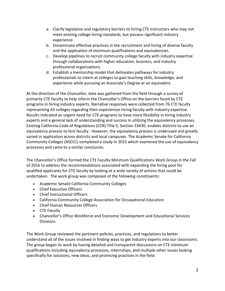- a. Clarify legislative and regulatory barriers to hiring CTE instructors who may not meet existing college hiring standards, but possess significant industry experience.
- b. Disseminate effective practices in the recruitment and hiring of diverse faculty and the application of minimum qualifications and equivalencies.
- c. Develop pipelines to recruit community college faculty with industry expertise through collaborations with higher education, business, and industry professional organizations.
- d. Establish a mentorship model that delineates pathways for industry professionals to intern at colleges to gain teaching skills, knowledge, and experience while pursuing an Associate's Degree or an equivalent.

At the direction of the Chancellor, data was gathered from the field through a survey of primarily CTE faculty to help inform the Chancellor's Office on the barriers faced by CTE programs in hiring industry experts. Narrative responses were collected from 76 CTE faculty representing 43 colleges regarding their experiences hiring faculty with industry expertise. Results indicated an urgent need for CTE programs to have more flexibility in hiring industry experts and a general lack of understanding and success in utilizing the equivalency processes. Existing California Code of Regulations (CCR) Title 5, Section 53430, enables districts to use an equivalency process to hire faculty. However, the equivalency process is underused and greatly varied in application across districts and local campuses. The Academic Senate for California Community Colleges (ASCCC) completed a study in 2015 which examined the use of equivalency processes and came to a similar conclusion.

The Chancellor's Office formed the CTE Faculty Minimum Qualifications Work Group in the Fall of 2016 to address the recommendations associated with expanding the hiring pool for qualified applicants for CTE faculty by looking at a wide variety of actions that could be undertaken. The work group was composed of the following constituents:

- Academic Senate California Community Colleges
- Chief Executive Officers
- Chief Instructional Officers
- California Community College Association for Occupational Education
- Chief Human Resources Officers
- CTE Faculty
- Chancellor's Office Workforce and Economic Development and Educational Services **Divisions**

The Work Group reviewed the pertinent policies, practices, and regulations to better understand all of the issues involved in finding ways to get industry experts into our classrooms. The group began its work by having detailed and transparent discussions on CTE minimum qualifications including equivalency processes, internships, and multiple other issues looking specifically for solutions, new ideas, and promising practices in the field.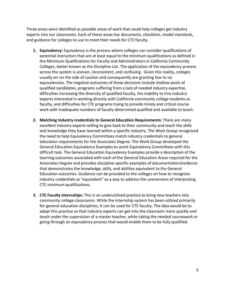Three areas were identified as possible areas of work that could help colleges get industry experts into our classrooms. Each of these areas has documents, checklists, model standards, and guidance for colleges to use to meet their needs for CTE faculty.

- **1. Equivalency:** Equivalency is the process where colleges can consider qualifications of potential instructors that are at least equal to the minimum qualifications as defined in the Minimum Qualifications for Faculty and Administrators in California Community Colleges, better known as the Discipline List. The application of the equivalency process across the system is uneven, inconsistent, and confusing. Given this reality, colleges usually err on the side of caution and consequently are granting few to no equivalencies. The negative outcomes of these decisions include shallow pools of qualified candidates, programs suffering from a lack of needed industry expertise, difficulties increasing the diversity of qualified faculty, the inability to hire industry experts interested in working directly with California community college students as faculty, and difficulties for CTE programs trying to provide timely and critical course work with inadequate numbers of faculty determined qualified and available to teach.
- **2. Matching Industry credentials to General Education Requirements:** There are many excellent industry experts willing to give back to their community and teach the skills and knowledge they have learned within a specific industry. The Work Group recognized the need to help Equivalency Committees match industry credentials to general education requirements for the Associates Degree. The Work Group developed the General Education Equivalency Examples to assist Equivalency Committees with this difficult task. The General Education Equivalency Examples provide a description of the learning outcomes associated with each of the General Education Areas required for the Associates Degree and provides discipline specific examples of documentation/evidence that demonstrates the knowledge, skills, and abilities equivalent to the General Education outcomes. Guidance can be provided to the colleges on how to recognize industry credentials as "equivalent" as a way to address the unevenness of interpreting CTE minimum qualifications.
- **3. CTE Faculty Internships**: This is an underutilized practice to bring new teachers into community college classrooms. While the internship system has been utilized primarily for general education disciplines, it can be used for CTE faculty. The idea would be to adapt this practice so that industry experts can get into the classroom more quickly and teach under the supervision of a master teacher, while taking the needed coursework or going through an equivalency process that would enable them to be fully qualified.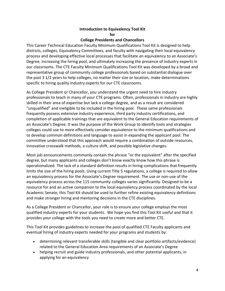## **Introduction to Equivalency Tool Kit for**

#### **College Presidents and Chancellors**

This Career Technical Education Faculty Minimum Qualifications Tool Kit is designed to help districts, colleges, Equivalency Committees, and faculty with navigating their local equivalency process and developing effective local processes that facilitate an equivalency to an Associate's Degree, increasing the hiring pool, and ultimately increasing the presence of industry experts in our classrooms. The CTE Faculty Minimum Qualifications Tool Kit was developed by a broad and representative group of community college professionals based on substantial dialogue over the past 3 1/2 years to help colleges, no matter their size or location, make determinations specific to hiring quality industry experts for our CTE classrooms.

As College President or Chancellor, you understand the urgent need to hire industry professionals to teach in many of your CTE programs. Often, professionals in industry are highly skilled in their area of expertise but lack a college degree, and as a result are considered "unqualified" and ineligible to be included in the hiring pool. These same professionals frequently possess extensive industry experience, third party industry certifications, and completion of applicable trainings that are equivalent to the General Education requirements of an Associate's Degree. It was the purpose of the Work Group to identify tools and strategies colleges could use to more effectively consider equivalence to the minimum qualifications and to develop common definitions and language to assist in expanding the applicant pool. The committee understood that this approach would require a combination of outside resources, innovative crosswalk methods, a culture shift, and possible legislative changes.

Most job announcements commonly contain the phrase "or the equivalent" after the specified degree, but many applicants and colleges don't know exactly know how this phrase is operationalized. The lack of a standard definition results in hiring complications that frequently limits the size of the hiring pools. Using current Title 5 regulations, a college is required to allow an equivalency process for the Associate's Degree requirement. The use or non-use of the equivalency process across the 115 community colleges varies significantly. Designed to be a resource for and an active companion to the local equivalency process coordinated by the local Academic Senate, this Tool Kit should be used to further refine existing equivalency definitions and make stronger hiring and mentoring decisions in the CTE disciplines.

As a College President or Chancellor, your role is to ensure your college employs the most qualified industry experts for your students. We hope you find this Tool Kit useful and that it provides your college with the tools you need to create more and better CTE.

This Tool Kit provides guidelines to increase the pool of qualified CTE Faculty applicants and eventual hiring of industry experts needed for your programs and students by:

- determining relevant transferable skills (tangible and clear portfolio artifacts/evidence) related to the General Education Area requirements of an Associate's Degree
- helping recruit and guide industry professionals, and other potential applicants, in applying for an equivalency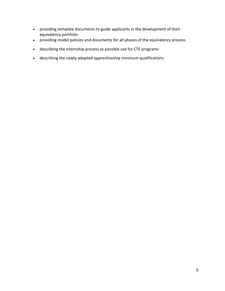- providing template documents to guide applicants in the development of their equivalency portfolio
- providing model policies and documents for all phases of the equivalency process
- describing the internship process as possible use for CTE programs
- describing the newly adopted apprenticeship minimum qualifications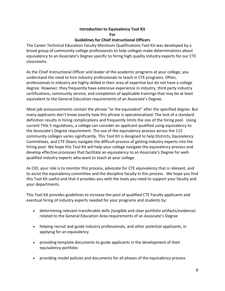#### **Introduction to Equivalency Tool Kit For Guidelines for Chief Instructional Officers**

The Career Technical Education Faculty Minimum Qualifications Tool Kit was developed by a broad group of community college professionals to help colleges make determinations about equivalency to an Associate's Degree specific to hiring high quality industry experts for our CTE classrooms.

As the Chief Instructional Officer and leader of the academic programs at your college, you understand the need to hire industry professionals to teach in CTE programs. Often, professionals in industry are highly skilled in their area of expertise but do not have a college degree. However, they frequently have extensive experience in industry, third party industry certifications, community service, and completion of applicable trainings that may be at least equivalent to the General Education requirements of an Associate's Degree.

Most job announcements contain the phrase "or the equivalent" after the specified degree. But many applicants don't know exactly how this phrase is operationalized. The lack of a standard definition results in hiring complications and frequently limits the size of the hiring pool. Using current Title 5 regulations, a college can consider an applicant qualified using equivalency to the Associate's Degree requirement. The use of the equivalency process across the 115 community colleges varies significantly. This Tool Kit is designed to help Districts, Equivalency Committees, and CTE Deans navigate the difficult process of getting industry experts into the hiring pool. We hope this Tool Kit will help your college navigate the equivalency process and develop effective processes that facilitate an equivalency to an Associate's Degree for wellqualified industry experts who want to teach at your college.

As CIO, your role is to monitor this process, advocate for CTE equivalency that is relevant, and to assist the equivalency committee and the discipline faculty in this process. We hope you find this Tool Kit useful and that it provides you with the tools you need to support your faculty and your departments.

This Tool Kit provides guidelines to increase the pool of qualified CTE Faculty applicants and eventual hiring of industry experts needed for your programs and students by:

- determining relevant transferable skills (tangible and clear portfolio artifacts/evidence) related to the General Education Area requirements of an Associate's Degree
- helping recruit and guide industry professionals, and other potential applicants, in applying for an equivalency
- providing template documents to guide applicants in the development of their equivalency portfolio
- providing model policies and documents for all phases of the equivalency process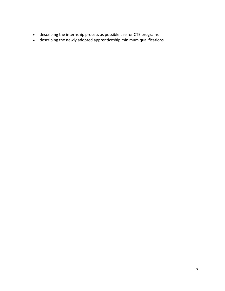- describing the internship process as possible use for CTE programs
- describing the newly adopted apprenticeship minimum qualifications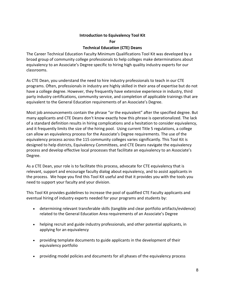## **Introduction to Equivalency Tool Kit**

**For**

## **Technical Education (CTE) Deans**

The Career Technical Education Faculty Minimum Qualifications Tool Kit was developed by a broad group of community college professionals to help colleges make determinations about equivalency to an Associate's Degree specific to hiring high quality industry experts for our classrooms.

As CTE Dean, you understand the need to hire industry professionals to teach in our CTE programs. Often, professionals in industry are highly skilled in their area of expertise but do not have a college degree. However, they frequently have extensive experience in industry, third party industry certifications, community service, and completion of applicable trainings that are equivalent to the General Education requirements of an Associate's Degree.

Most job announcements contain the phrase "or the equivalent" after the specified degree. But many applicants and CTE Deans don't know exactly how this phrase is operationalized. The lack of a standard definition results in hiring complications and a hesitation to consider equivalency, and it frequently limits the size of the hiring pool. Using current Title 5 regulations, a college can allow an equivalency process for the Associate's Degree requirements. The use of the equivalency process across the 115 community colleges varies significantly. This Tool Kit is designed to help districts, Equivalency Committees, and CTE Deans navigate the equivalency process and develop effective local processes that facilitate an equivalency to an Associate's Degree.

As a CTE Dean, your role is to facilitate this process, advocate for CTE equivalency that is relevant, support and encourage faculty dialog about equivalency, and to assist applicants in the process. We hope you find this Tool Kit useful and that it provides you with the tools you need to support your faculty and your division.

This Tool Kit provides guidelines to increase the pool of qualified CTE Faculty applicants and eventual hiring of industry experts needed for your programs and students by:

- determining relevant transferable skills (tangible and clear portfolio artifacts/evidence) related to the General Education Area requirements of an Associate's Degree
- helping recruit and guide industry professionals, and other potential applicants, in applying for an equivalency
- providing template documents to guide applicants in the development of their equivalency portfolio
- providing model policies and documents for all phases of the equivalency process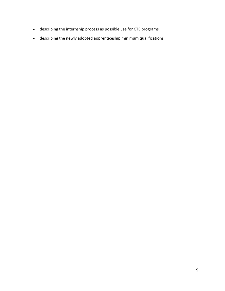- describing the internship process as possible use for CTE programs
- describing the newly adopted apprenticeship minimum qualifications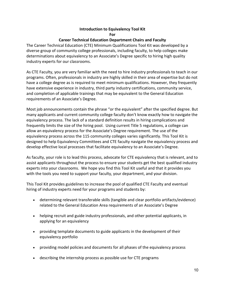## **Introduction to Equivalency Tool Kit For**

## **Career Technical Education Department Chairs and Faculty**

The Career Technical Education (CTE) Minimum Qualifications Tool Kit was developed by a diverse group of community college professionals, including faculty, to help colleges make determinations about equivalency to an Associate's Degree specific to hiring high quality industry experts for our classrooms.

As CTE Faculty, you are very familiar with the need to hire industry professionals to teach in our programs. Often, professionals in industry are highly skilled in their area of expertise but do not have a college degree as is required to meet minimum qualifications. However, they frequently have extensive experience in industry, third party industry certifications, community service, and completion of applicable trainings that may be equivalent to the General Education requirements of an Associate's Degree.

Most job announcements contain the phrase "or the equivalent" after the specified degree. But many applicants and current community college faculty don't know exactly how to navigate the equivalency process. The lack of a standard definition results in hiring complications and frequently limits the size of the hiring pool. Using current Title 5 regulations, a college can allow an equivalency process for the Associate's Degree requirement. The use of the equivalency process across the 115 community colleges varies significantly. This Tool Kit is designed to help Equivalency Committees and CTE faculty navigate the equivalency process and develop effective local processes that facilitate equivalency to an Associate's Degree.

As faculty, your role is to lead this process, advocate for CTE equivalency that is relevant, and to assist applicants throughout the process to ensure your students get the best qualified industry experts into your classrooms. We hope you find this Tool Kit useful and that it provides you with the tools you need to support your faculty, your department, and your division.

This Tool Kit provides guidelines to increase the pool of qualified CTE Faculty and eventual hiring of industry experts need for your programs and students by:

- determining relevant transferable skills (tangible and clear portfolio artifacts/evidence) related to the General Education Area requirements of an Associate's Degree
- helping recruit and guide industry professionals, and other potential applicants, in applying for an equivalency
- providing template documents to guide applicants in the development of their equivalency portfolio
- providing model policies and documents for all phases of the equivalency process
- describing the internship process as possible use for CTE programs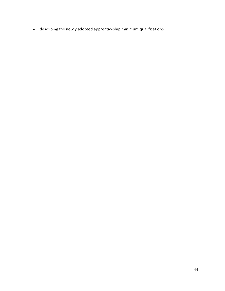• describing the newly adopted apprenticeship minimum qualifications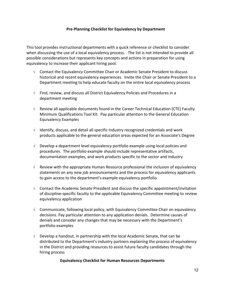#### **Pre-Planning Checklist for Equivalency by Department**

This tool provides instructional departments with a quick reference or checklist to consider when discussing the use of a local equivalency process. The list is not intended to provide all possible considerations but represents key concepts and actions in preparation for using equivalency to increase their applicant hiring pool.

- √ Contact the Equivalency Committee Chair or Academic Senate President to discuss historical and recent equivalency experiences. Invite the Chair or Senate President to a Department meeting to help educate faculty on the entire local equivalency process
- $\sqrt{\phantom{a}}$  Find, review, and discuss all District Equivalency Policies and Procedures in a department meeting
- $\sqrt{ }$  Review all applicable documents found in the Career Technical Education (CTE) Faculty Minimum Qualifications Tool Kit. Pay particular attention to the General Education Equivalency Examples
- $\sqrt{ }$  Identify, discuss, and detail all specific Industry recognized credentials and work products applicable to the general education areas expected for an Associate's Degree
- $\sqrt{\phantom{a}}$  Develop a department level equivalency portfolio example using local policies and procedures. The portfolio example should include representative artifacts, documentation examples, and work products specific to the sector and industry
- $\sqrt{\phantom{a}}$  Review with the appropriate Human Resource professional the inclusion of equivalency statements on any new job announcements and the process for equivalency applicants to gain access to the department's example equivalency portfolio
- $\sqrt{\phantom{a}}$  Contact the Academic Senate President and discuss the specific appointment/invitation of discipline-specific faculty to the applicable Equivalency Committee meeting to review equivalency application
- √ Communicate, following local policy, with Equivalency Committee Chair on equivalency decisions. Pay particular attention to any application denials. Determine causes of denials and consider any changes that may be necessary with the Department's portfolio examples
- $\sqrt{\phantom{a}}$  Develop a handout, in partnership with the local Academic Senate, that can be distributed to the Department's industry partners explaining the process of equivalency in the District and providing resources to assist future faculty candidates through the hiring process

## **Equivalency Checklist for Human Resources Departments**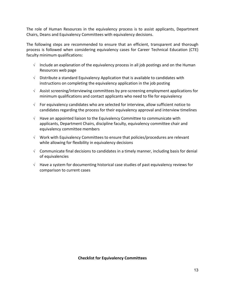The role of Human Resources in the equivalency process is to assist applicants, Department Chairs, Deans and Equivalency Committees with equivalency decisions.

The following steps are recommended to ensure that an efficient, transparent and thorough process is followed when considering equivalency cases for Career Technical Education (CTE) faculty minimum qualifications:

- $\sqrt{\phantom{a}}$  Include an explanation of the equivalency process in all job postings and on the Human Resources web page
- $\sqrt{\phantom{a}}$  Distribute a standard Equivalency Application that is available to candidates with instructions on completing the equivalency application in the job posting
- √ Assist screening/interviewing committees by pre-screening employment applications for minimum qualifications and contact applicants who need to file for equivalency
- √ For equivalency candidates who are selected for interview, allow sufficient notice to candidates regarding the process for their equivalency approval and interview timelines
- $\sqrt{\phantom{a}}$  Have an appointed liaison to the Equivalency Committee to communicate with applicants, Department Chairs, discipline faculty, equivalency committee chair and equivalency committee members
- √ Work with Equivalency Committees to ensure that policies/procedures are relevant while allowing for flexibility in equivalency decisions
- √ Communicate final decisions to candidates in a timely manner, including basis for denial of equivalencies
- $\sqrt{ }$  Have a system for documenting historical case studies of past equivalency reviews for comparison to current cases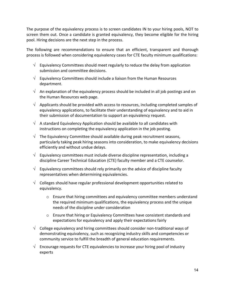The purpose of the equivalency process is to screen candidates IN to your hiring pools, NOT to screen them out. Once a candidate is granted equivalency, they become eligible for the hiring pool. Hiring decisions are the next step in the process.

The following are recommendations to ensure that an efficient, transparent and thorough process is followed when considering equivalency cases for CTE faculty minimum qualifications:

- $\sqrt{\phantom{a}}$  Equivalency Committees should meet regularly to reduce the delay from application submission and committee decisions.
- $\sqrt{\phantom{a}}$  Equivalency Committees should include a liaison from the Human Resources department.
- $\sqrt{\phantom{a}}$  An explanation of the equivalency process should be included in all job postings and on the Human Resources web page.
- $\sqrt{\phantom{a}}$  Applicants should be provided with access to resources, including completed samples of equivalency applications, to facilitate their understanding of equivalency and to aid in their submission of documentation to support an equivalency request.
- $\sqrt{\phantom{a}}$  A standard Equivalency Application should be available to all candidates with instructions on completing the equivalency application in the job posting.
- $\sqrt{\phantom{a}}$  The Equivalency Committee should available during peak recruitment seasons, particularly taking peak hiring seasons into consideration, to make equivalency decisions efficiently and without undue delays.
- $\sqrt{\phantom{a}}$  Equivalency committees must include diverse discipline representation, including a discipline Career Technical Education (CTE) faculty member and a CTE counselor.
- $\sqrt{\phantom{a}}$  Equivalency committees should rely primarily on the advice of discipline faculty representatives when determining equivalencies.
- $\sqrt{\phantom{a}}$  Colleges should have regular professional development opportunities related to equivalency.
	- $\circ$  Ensure that hiring committees and equivalency committee members understand the required minimum qualifications, the equivalency process and the unique needs of the discipline under consideration
	- o Ensure that hiring or Equivalency Committees have consistent standards and expectations for equivalency and apply their expectations fairly
- $\sqrt{\phantom{a}}$  College equivalency and hiring committees should consider non-traditional ways of demonstrating equivalency, such as recognizing industry skills and competencies or community service to fulfill the breadth of general education requirements.
- $\sqrt{\phantom{a}}$  Encourage requests for CTE equivalencies to increase your hiring pool of industry experts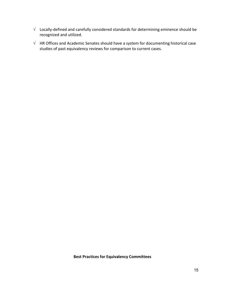- $\sqrt{-1}$  Locally-defined and carefully considered standards for determining eminence should be recognized and utilized.
- $\sqrt{\phantom{a}}$  HR Offices and Academic Senates should have a system for documenting historical case studies of past equivalency reviews for comparison to current cases.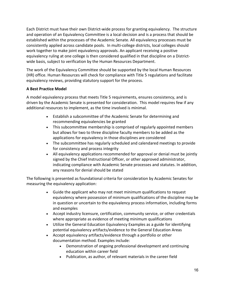Each District must have their own District-wide process for granting equivalency. The structure and operation of an Equivalency Committee is a local decision and is a process that should be established within the processes of the Academic Senate. All equivalency processes must be consistently applied across candidate pools. In multi-college districts, local colleges should work together to make joint equivalency approvals. An applicant receiving a positive equivalency ruling at one college is then considered qualified in that discipline on a Districtwide basis, subject to verification by the Human Resources Department.

The work of the Equivalency Committee should be supported by the local Human Resources (HR) office. Human Resources will check for compliance with Title 5 regulations and facilitate equivalency reviews, providing statutory support for the process.

## **A Best Practice Model**

A model equivalency process that meets Title 5 requirements, ensures consistency, and is driven by the Academic Senate is presented for consideration. This model requires few if any additional resources to implement, as the time involved is minimal.

- Establish a subcommittee of the Academic Senate for determining and recommending equivalencies be granted
- This subcommittee membership is comprised of regularly appointed members but allows for two to three discipline faculty members to be added as the applications for equivalency in those disciplines are considered
- The subcommittee has regularly scheduled and calendared meetings to provide for consistency and process integrity
- All equivalency applications recommended for approval or denial must be jointly signed by the Chief Instructional Officer, or other approved administrator, indicating compliance with Academic Senate processes and statutes. In addition, any reasons for denial should be stated

The following is presented as foundational criteria for consideration by Academic Senates for measuring the equivalency application:

- Guide the applicant who may not meet minimum qualifications to request equivalency where possession of minimum qualifications of the discipline may be in question or uncertain to the equivalency process information, including forms and examples
- Accept industry licensure, certification, community service, or other credentials where appropriate as evidence of meeting minimum qualifications
- Utilize the General Education Equivalency Examples as a guide for identifying potential equivalency artifacts/evidence to the General Education Areas
- Accept equivalency artifacts/evidence through a portfolio or other documentation method. Examples include:
	- Demonstration of ongoing professional development and continuing education within career field
	- Publication, as author, of relevant materials in the career field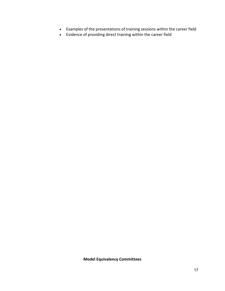- Examples of the presentations of training sessions within the career field
- Evidence of providing direct training within the career field

**Model Equivalency Committees**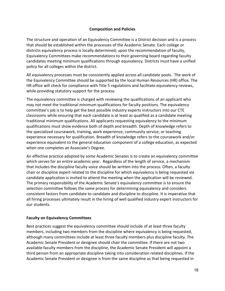#### **Composition and Policies**

The structure and operation of an Equivalency Committee is a District decision and is a process that should be established within the processes of the Academic Senate. Each college or districts equivalency process is locally determined; upon the recommendation of faculty, Equivalency Committees make recommendations to their governing board regarding faculty candidates meeting minimum qualifications through equivalency. Districts must have a unified policy for all colleges within the district.

All equivalency processes must be consistently applied across all candidate pools. The work of the Equivalency Committee should be supported by the local Human Resources (HR) office. The HR office will check for compliance with Title 5 regulations and facilitate equivalency reviews, while providing statutory support for the process.

The equivalency committee is charged with reviewing the qualifications of an applicant who may not meet the traditional minimum qualifications for faculty positions. The equivalency committee's job is to help get the best possible industry experts instructors into our CTE classrooms while ensuring that each candidate is at least as qualified as a candidate meeting traditional minimum qualifications. All applicants requesting equivalency to the minimum qualifications must show evidence both of depth and breadth. Depth of knowledge refers to the specialized coursework, training, work experience, community service, or teaching experience necessary for qualification. Breadth of knowledge refers to the coursework and/or experience equivalent to the general education component of a college education, as expected when one completes an Associate's Degree.

An effective practice adopted by some Academic Senates is to create an equivalency committee which serves for an entire academic year. Regardless of the length of service, a mechanism that includes the discipline faculty voice should be written into the process. Often, a faculty chair or discipline expert related to the discipline for which equivalency is being requested via candidate application is invited to attend the meeting when the application will be reviewed. The primary responsibility of the Academic Senate's equivalency committee is to ensure the selection committee follows the same process for determining equivalency and considers consistent factors from candidate to candidate and discipline to discipline. It is imperative that all hiring processes ultimately result in the hiring of well qualified industry expert instructors for our students.

#### **Faculty on Equivalency Committees**

Best practices suggest the equivalency committee should include of at least three faculty members, including two members from the discipline where equivalency is being requested, although many committees include at least three faculty members plus discipline faculty. The Academic Senate President or designee should chair the committee. If there are not two available faculty members from the discipline, the Academic Senate President will appoint a third person from an appropriate discipline taking into consideration related disciplines. If the Academic Senate President or designee is from the same discipline as that being requested in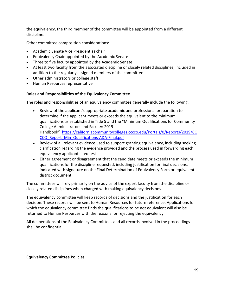the equivalency, the third member of the committee will be appointed from a different discipline.

Other committee composition considerations:

- Academic Senate Vice President as chair
- Equivalency Chair appointed by the Academic Senate
- Three to five faculty appointed by the Academic Senate
- At least two faculty from the associated discipline or closely related disciplines, included in addition to the regularly assigned members of the committee
- Other administrators or college staff
- Human Resources representative

## **Roles and Responsibilities of the Equivalency Committee**

The roles and responsibilities of an equivalency committee generally include the following:

- Review of the applicant's appropriate academic and professional preparation to determine if the applicant meets or exceeds the equivalent to the minimum qualifications as established in Title 5 and the "Minimum Qualifications for Community College Administrators and Faculty: 2019 Handbook" [https://californiacommunitycolleges.cccco.edu/Portals/0/Reports/2019/CC](https://californiacommunitycolleges.cccco.edu/Portals/0/Reports/2019/CCCCO_Report_Min_Qualifications-ADA-Final.pdf) [CCO\\_Report\\_Min\\_Qualifications-ADA-Final.pdf](https://californiacommunitycolleges.cccco.edu/Portals/0/Reports/2019/CCCCO_Report_Min_Qualifications-ADA-Final.pdf)
- Review of all relevant evidence used to support granting equivalency, including seeking clarification regarding the evidence provided and the process used in forwarding each equivalency applicant's request
- Either agreement or disagreement that the candidate meets or exceeds the minimum qualifications for the discipline requested, including justification for final decisions, indicated with signature on the Final Determination of Equivalency Form or equivalent district document

The committees will rely primarily on the advice of the expert faculty from the discipline or closely related disciplines when charged with making equivalency decisions

The equivalency committee will keep records of decisions and the justification for each decision. These records will be sent to Human Resources for future reference. Applications for which the equivalency committee finds the qualifications to be not equivalent will also be returned to Human Resources with the reasons for rejecting the equivalency.

All deliberations of the Equivalency Committees and all records involved in the proceedings shall be confidential.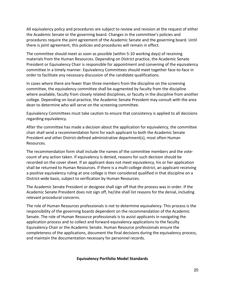All equivalency policy and procedures are subject to review and revision at the request of either the Academic Senate or the governing board. Changes in the committee's policies and procedures require the joint agreement of the Academic Senate and the governing board. Until there is joint agreement, this policies and procedures will remain in effect.

The committee should meet as soon as possible (within 5-10 working days) of receiving materials from the Human Resources. Depending on District practice, the Academic Senate President or Equivalency Chair is responsible for appointment and convening of the equivalency committee in a timely manner. Equivalency Committees should meet together face-to-face in order to facilitate any necessary discussion of the candidate qualifications.

In cases where there are fewer than three members from the discipline on the screening committee, the equivalency committee shall be augmented by faculty from the discipline where available, faculty from closely related disciplines, or faculty in the discipline from another college. Depending on local practice, the Academic Senate President may consult with the area dean to determine who will serve on the screening committee.

Equivalency Committees must take caution to ensure that consistency is applied to all decisions regarding equivalency.

After the committee has made a decision about the application for equivalency, the committee chair shall send a recommendation form for each applicant to both the Academic Senate President and other District-defined administrative department(s), most often Human Resources.

The recommendation form shall include the names of the committee members and the votecount of any action taken. If equivalency is denied, reasons for such decision should be recorded on the cover sheet. If an applicant does not meet equivalency, his or her application shall be returned to Human Resources. If there is a multi-college district, an applicant receiving a positive equivalency ruling at one college is then considered qualified in that discipline on a District-wide basis, subject to verification by Human Resources.

The Academic Senate President or designee shall sign off that the process was in order. If the Academic Senate President does not sign off, he/she shall list reasons for the denial, including relevant procedural concerns.

The role of Human Resources professionals is not to determine equivalency. This process is the responsibility of the governing boards dependent on the recommendation of the Academic Senate. The role of Human Resource professionals is to assist applicants in navigating the application process and to collect and forward equivalency applications to the faculty Equivalency Chair or the Academic Senate. Human Resource professionals ensure the completeness of the applications, document the final decisions during the equivalency process, and maintain the documentation necessary for personnel records.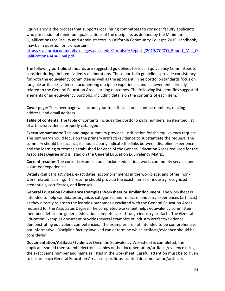Equivalency is the process that supports local hiring committees to consider faculty applicants who possession of minimum qualifications of the discipline, as defined by the Minimum Qualifications for Faculty and Administrators in California Community Colleges 2019 Handbook, may be in question or is uncertain.

[https://californiacommunitycolleges.cccco.edu/Portals/0/Reports/2019/CCCCO\\_Report\\_Min\\_Q](https://californiacommunitycolleges.cccco.edu/Portals/0/Reports/2019/CCCCO_Report_Min_Qualifications-ADA-Final.pdf) [ualifications-ADA-Final.pdf](https://californiacommunitycolleges.cccco.edu/Portals/0/Reports/2019/CCCCO_Report_Min_Qualifications-ADA-Final.pdf)

The following portfolio standards are suggested guidelines for local Equivalency Committees to consider during their equivalency deliberations. These portfolio guidelines provide consistency for both the equivalency committee as well as the applicant. The portfolio standards focus on tangible artifacts/evidence documenting discipline experience, and achievements directly related to the General Education Area learning outcomes. The following list identifies suggested elements of an equivalency portfolio, including details on the contents of each item:

**Cover page**: The cover page will include your full official name, contact numbers, mailing address, and email address.

**Table of contents**: The table of contents includes the portfolio page numbers, an itemized list of artifacts/evidence properly cataloged.

**Executive summary**: This one-page summary provides justification for the equivalency request. The summary should focus on the primary artifacts/evidence to substantiate the request. The summary should be succinct, it should clearly indicate the links between discipline experience and the learning outcomes established for each of the General Education Areas required for the Associates Degree and is listed on the General Education Equivalency Matrix.

**Current resume**: The current resume should include education, work, community service, and volunteer experiences.

Detail significant activities, exact dates, accomplishments in the workplace, and other, nonwork related learning. The resume should provide the exact names of industry recognized credentials, certificates, and licenses.

**General Education Equivalency Examples Worksheet or similar document:** The worksheet is intended to help candidates organize, categorize, and reflect on industry experiences (artifacts) as they directly relate to the learning outcomes associated with the General Education Areas required for the Associates Degree. The completed worksheet helps equivalency committee members determine general education competencies through industry artifacts. The General Education Examples document provides several examples of industry artifacts/evidence demonstrating equivalent competencies. The examples are not intended to be comprehensive but informative. Discipline faculty involved can determine which artifacts/evidence should be considered.

**Documentation/Artifacts/Evidence:** Once the Equivalency Worksheet is completed, the applicant should then submit electronic copies of the documentation/artifacts/evidence using the exact same number and name as listed in the worksheet. Careful attention must be to given to ensure each General Education Area has specific associated documentation/artifacts.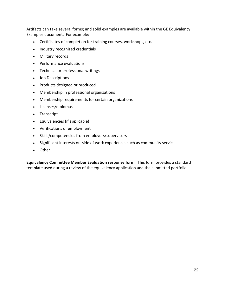Artifacts can take several forms; and solid examples are available within the GE Equivalency Examples document. For example:

- Certificates of completion for training courses, workshops, etc.
- Industry recognized credentials
- Military records
- Performance evaluations
- Technical or professional writings
- Job Descriptions
- Products designed or produced
- Membership in professional organizations
- Membership requirements for certain organizations
- Licenses/diplomas
- Transcript
- Equivalencies (if applicable)
- Verifications of employment
- Skills/competencies from employers/supervisors
- Significant interests outside of work experience, such as community service
- Other

**Equivalency Committee Member Evaluation response form**: This form provides a standard template used during a review of the equivalency application and the submitted portfolio.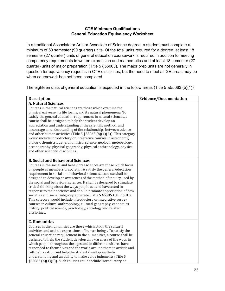## **CTE Minimum Qualifications General Education Equivalency Worksheet**

In a traditional Associate or Arts or Associate of Science degree, a student must complete a minimum of 60 semester (90 quarter) units. Of the total units required for a degree, at least 18 semester (27 quarter) units of general education coursework is required in addition to meeting competency requirements in written expression and mathematics and at least 18 semester (27 quarter) units of major preparation (Title 5 §55063). The major prep units are not generally in question for equivalency requests in CTE disciplines, but the need to meet all GE areas may be when coursework has not been completed.

The eighteen units of general education is expected in the follow areas (Title 5 &55063 (b)(1)):

| <b>Description</b>                                                                                                                                                                                                                                                                                                                                                                                                                                                                                                                                                                                                                                                                                                                                                                                                                          | <b>Evidence/Documentation</b> |
|---------------------------------------------------------------------------------------------------------------------------------------------------------------------------------------------------------------------------------------------------------------------------------------------------------------------------------------------------------------------------------------------------------------------------------------------------------------------------------------------------------------------------------------------------------------------------------------------------------------------------------------------------------------------------------------------------------------------------------------------------------------------------------------------------------------------------------------------|-------------------------------|
| <b>A. Natural Sciences</b><br>Courses in the natural sciences are those which examine the<br>physical universe, its life forms, and its natural phenomena. To<br>satisfy the general education requirement in natural sciences, a<br>course shall be designed to help the student develop an<br>appreciation and understanding of the scientific method, and<br>encourage an understanding of the relationships between science<br>and other human activities (Title 5 $\S55063$ (b)(1)(A)). This category<br>would include introductory or integrative courses in astronomy,<br>biology, chemistry, general physical science, geology, meteorology,<br>oceanography, physical geography, physical anthropology, physics<br>and other scientific disciplines.                                                                               |                               |
| <b>B. Social and Behavioral Sciences</b><br>Courses in the social and behavioral sciences are those which focus<br>on people as members of society. To satisfy the general education<br>requirement in social and behavioral sciences, a course shall be<br>designed to develop an awareness of the method of inquiry used by<br>the social and behavioral sciences. It shall be designed to stimulate<br>critical thinking about the ways people act and have acted in<br>response to their societies and should promote appreciation of how<br>societies and social subgroups operate (Title 5 § 55063 (b)(1)(B)).<br>This category would include introductory or integrative survey<br>courses in cultural anthropology, cultural geography, economics,<br>history, political science, psychology, sociology and related<br>disciplines. |                               |
| <b>C. Humanities</b><br>Courses in the humanities are those which study the cultural<br>activities and artistic expressions of human beings. To satisfy the<br>general education requirement in the humanities, a course shall be<br>designed to help the student develop an awareness of the ways in<br>which people throughout the ages and in different cultures have<br>responded to themselves and the world around them in artistic and<br>cultural creation and help the student develop aesthetic<br>understanding and an ability to make value judgments (Title 5<br>§55063 (b)(1)(C)). Such courses could include introductory or                                                                                                                                                                                                 |                               |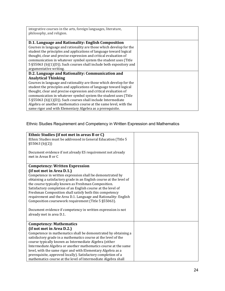| integrative courses in the arts, foreign languages, literature,<br>philosophy, and religion.                                                                                                                                                                                                    |  |
|-------------------------------------------------------------------------------------------------------------------------------------------------------------------------------------------------------------------------------------------------------------------------------------------------|--|
| D.1. Language and Rationality: English Composition<br>Courses in language and rationality are those which develop for the<br>student the principles and applications of language toward logical                                                                                                 |  |
| thought, clear and precise expression and critical evaluation of<br>communication in whatever symbol system the student uses (Title<br>5 § 55063 (b)(1)(D)). Such courses shall include both expository and<br>argumentative writing.                                                           |  |
| D.2. Language and Rationality: Communication and<br><b>Analytical Thinking</b><br>Courses in language and rationality are those which develop for the<br>student the principles and applications of language toward logical<br>thought, clear and precise expression and critical evaluation of |  |
| communication in whatever symbol system the student uses (Title<br>5 § 55063 (b)(1)(D)). Such courses shall include Intermediate<br>Algebra or another mathematics course at the same level, with the<br>same rigor and with Elementary Algebra as a prerequisite.                              |  |

## Ethnic Studies Requirement and Competency in Written Expression and Mathematics

| Ethnic Studies (if not met in areas B or C)<br>Ethnic Studies must be addressed in General Education (Title 5<br>\$55063(b)(2)]                                                                                                                                                                                                                                                                                                                                                                                                                                                                                 |  |
|-----------------------------------------------------------------------------------------------------------------------------------------------------------------------------------------------------------------------------------------------------------------------------------------------------------------------------------------------------------------------------------------------------------------------------------------------------------------------------------------------------------------------------------------------------------------------------------------------------------------|--|
| Document evidence if not already ES requirement not already<br>met in Areas B or C                                                                                                                                                                                                                                                                                                                                                                                                                                                                                                                              |  |
| <b>Competency: Written Expression</b><br>(if not met in Area D.1.)<br>Competence in written expression shall be demonstrated by<br>obtaining a satisfactory grade in an English course at the level of<br>the course typically known as Freshman Composition.<br>Satisfactory completion of an English course at the level of<br>Freshman Composition shall satisfy both this competency<br>requirement and the Area D.1. Language and Rationality: English<br>Composition coursework requirement (Title 5 §55063).<br>Document evidence if competency in written expression is not<br>already met in area D.1. |  |
| <b>Competency: Mathematics</b><br>(if not met in Area D.2.)                                                                                                                                                                                                                                                                                                                                                                                                                                                                                                                                                     |  |
| Competence in mathematics shall be demonstrated by obtaining a<br>satisfactory grade in a mathematics course at the level of the<br>course typically known as Intermediate Algebra (either<br>Intermediate Algebra or another mathematics course at the same<br>level, with the same rigor and with Elementary Algebra as a<br>prerequisite, approved locally). Satisfactory completion of a<br>mathematics course at the level of Intermediate Algebra shall                                                                                                                                                   |  |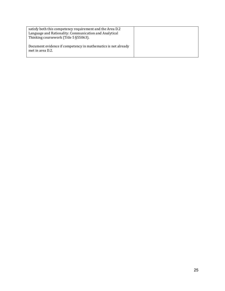| satisfy both this competency requirement and the Area D.2<br>Language and Rationality: Communication and Analytical<br>Thinking coursework (Title 5 § 55063). |  |
|---------------------------------------------------------------------------------------------------------------------------------------------------------------|--|
| Document evidence if competency in mathematics is not already<br>met in area D.2.                                                                             |  |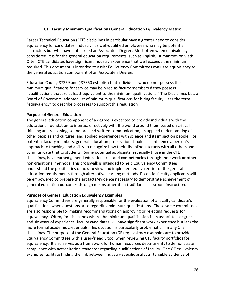#### **CTE Facutly Minimum Qualifications General Education Equivalency Matrix**

Career Technical Education (CTE) disciplines in particular have a greater need to consider equivalency for candidates. Industry has well-qualified employees who may be potential instructors but who have not earned an Associate's Degree. Most often when equivalency is considered, it is for the general education requirements, such as English, Humanities or Math. Often CTE candidates have significant industry experience that well exceeds the minimum required. This document is intended to assist Equivalency Committees evaluate equivalency to the general education component of an Associate's Degree.

Education Code § 87359 and §87360 establish that individuals who do not possess the minimum qualifications for service may be hired as faculty members if they possess "qualifications that are at least equivalent to the minimum qualifications." The Disciplines List, a Board of Governors' adopted list of minimum qualifications for hiring faculty, uses the term "equivalency" to describe processes to support this regulation.

#### **Purpose of General Education**

The general education component of a degree is expected to provide individuals with the educational foundation to interact effectively with the world around them based on critical thinking and reasoning, sound oral and written communication, an applied understanding of other peoples and cultures, and applied experiences with science and its impact on people. For potential faculty members, general education preparation should also influence a person's approach to teaching and ability to recognize how their discipline interacts with all others and communicate that to students. Some potential applicants, especially those in the CTE disciplines, have earned general education skills and competencies through their work or other non-traditional methods. This crosswalk is intended to help Equivalency Committees understand the possibilities of how to view and implement equivalencies of the general education requirements through alternative learning methods. Potential faculty applicants will be empowered to prepare the artifacts/evidence necessary to demonstrate achievement of general education outcomes through means other than traditional classroom instruction.

#### **Purpose of General Education Equivalency Examples**

Equivalency Committees are generally responsible for the evaluation of a faculty candidate's qualifications when questions arise regarding minimum qualifications. These same committees are also responsible for making recommendations on approving or rejecting requests for equivalency. Often, for disciplines where the minimum qualification is an associate's degree and six years of experience, faculty candidates will have significant work experience but lack the more formal academic credentials. This situation is particularly problematic in many CTE disciplines. The purpose of the General Education (GE) equivalency examples are to provide Equivalency Committees with a user-friendly tool when reviewing CTE faculty portfolios for equivalency. It also serves as a framework for human resources departments to demonstrate compliance with accreditation standards regarding qualifications of faculty. The GE equivalency examples facilitate finding the link between industry-specific artifacts (tangible evidence of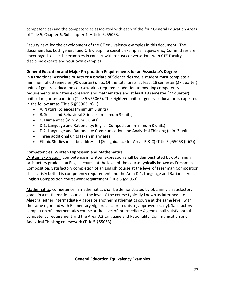competencies) and the competencies associated with each of the four General Education Areas of Title 5, Chapter 6, Subchapter 1, Article 6, 55063.

Faculty have led the development of the GE equivalency examples in this document. The document has both general and CTE discipline specific examples. Equivalency Committees are encouraged to use the examples in concert with robust conversations with CTE Faculty discipline experts and your own examples.

## **General Education and Major Preparation Requirements for an Associate's Degree**

In a traditional Associate or Arts or Associate of Science degree, a student must complete a minimum of 60 semester (90 quarter) units. Of the total units, at least 18 semester (27 quarter) units of general education coursework is required in addition to meeting competency requirements in written expression and mathematics and at least 18 semester (27 quarter) units of major preparation (Title 5 §55063). The eighteen units of general education is expected in the follow areas (Title 5  $§55063$  (b)(1)):

- A. Natural Sciences (minimum 3 units)
- B. Social and Behavioral Sciences (minimum 3 units)
- C. Humanities (minimum 3 units)
- D.1. Language and Rationality: English Composition (minimum 3 units)
- D.2. Language and Rationality: Communication and Analytical Thinking (min. 3 units)
- Three additional units taken in any area
- Ethnic Studies must be addressed (See guidance for Areas B & C) (Title 5 §55063 (b)(2))

## **Competencies: Written Expression and Mathematics**

Written Expression: competence in written expression shall be demonstrated by obtaining a satisfactory grade in an English course at the level of the course typically known as Freshman Composition. Satisfactory completion of an English course at the level of Freshman Composition shall satisfy both this competency requirement and the Area D.1. Language and Rationality: English Composition coursework requirement (Title 5 §55063).

Mathematics: competence in mathematics shall be demonstrated by obtaining a satisfactory grade in a mathematics course at the level of the course typically known as Intermediate Algebra (either Intermediate Algebra or another mathematics course at the same level, with the same rigor and with Elementary Algebra as a prerequisite, approved locally). Satisfactory completion of a mathematics course at the level of Intermediate Algebra shall satisfy both this competency requirement and the Area D.2 Language and Rationality: Communication and Analytical Thinking coursework (Title 5 §55063).

## **General Education Equivalency Examples**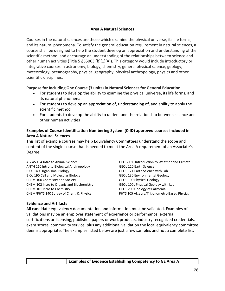#### **Area A Natural Sciences**

Courses in the natural sciences are those which examine the physical universe, its life forms, and its natural phenomena. To satisfy the general education requirement in natural sciences, a course shall be designed to help the student develop an appreciation and understanding of the scientific method, and encourage an understanding of the relationships between science and other human activities (Title 5 §55063 (b)(1)(A)). This category would include introductory or integrative courses in astronomy, biology, chemistry, general physical science, geology, meteorology, oceanography, physical geography, physical anthropology, physics and other scientific disciplines.

## **Purpose for Including One Course (3 units) in Natural Sciences for General Education**

- For students to develop the ability to examine the physical universe, its life forms, and its natural phenomena
- For students to develop an appreciation of, understanding of, and ability to apply the scientific method
- For students to develop the ability to understand the relationship between science and other human activities

## **Examples of Course Identification Numbering System (C-ID) approved courses included in Area A Natural Sciences**

This list of example courses may help Equivalency Committees understand the scope and content of the single course that is needed to meet the Area A requirement of an Associate's Degree.

AG-AS 104 Intro to Animal Science ANTH 110 Intro to Biological Anthropology BIOL 140 Organismal Biology BIOL 190 Cell and Molecular Biology CHEM 100 Chemistry and Society CHEM 102 Intro to Organic and Biochemistry CHEM 101 Intro to Chemistry CHEM/PHYS 140 Survey of Chem. & Physics

GEOG 130 Introduction to Weather and Climate GEOL 120 Earth Science GEOL 121 Earth Science with Lab GEOL 130 Environmental Geology GEOL 100 Physical Geology GEOL 100L Physical Geology with Lab GEOL 200 Geology of California PHYS 105 Algebra/Trigonometry-Based Physics

#### **Evidence and Artifacts**

| <b>Examples of Evidence Establishing Competency to GE Area A</b> |
|------------------------------------------------------------------|
|                                                                  |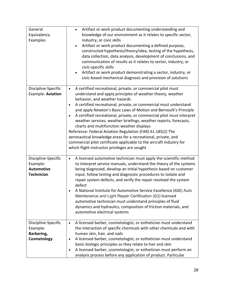| General<br>Equivalency<br>Examples                                        | Artifact or work product documenting understanding and<br>$\bullet$<br>knowledge of our environment as it relates to specific sector,<br>industry, or civic skills<br>Artifact or work product documenting a defined purpose,<br>$\bullet$<br>constructed hypothesis/theory/idea, testing of the hypothesis,<br>data collection, data analysis, development of conclusions, and<br>communication of results as it relates to sector, industry, or<br>civic-specific skills<br>Artifact or work product demonstrating a sector, industry, or<br>civic-based mechanical diagnosis and provision of solutions                                                                                                                                                                      |
|---------------------------------------------------------------------------|---------------------------------------------------------------------------------------------------------------------------------------------------------------------------------------------------------------------------------------------------------------------------------------------------------------------------------------------------------------------------------------------------------------------------------------------------------------------------------------------------------------------------------------------------------------------------------------------------------------------------------------------------------------------------------------------------------------------------------------------------------------------------------|
| Discipline-Specific<br>Example: Aviation                                  | A certified recreational, private, or commercial pilot must<br>$\bullet$<br>understand and apply principles of weather theory, weather<br>behavior, and weather hazards<br>A certified recreational, private, or commercial must understand<br>and apply Newton's Basic Laws of Motion and Bernoulli's Principle<br>A certified recreational, private, or commercial pilot must interpret<br>$\bullet$<br>weather services, weather briefings, weather reports, forecasts,<br>charts and multifunction weather displays<br>Reference: Federal Aviation Regulation (FAR) 61.185(2) The<br>aeronautical knowledge areas for a recreational, private, and<br>commercial pilot certificate applicable to the aircraft industry for<br>which flight instructor privileges are sought |
| Discipline-Specific<br>Example:<br><b>Automotive</b><br><b>Technician</b> | A licensed automotive technician must apply the scientific method<br>$\bullet$<br>to interpret service manuals, understand the theory of the systems<br>being diagnosed, develop an initial hypothesis based on customer<br>input, follow testing and diagnostic procedures to isolate and<br>repair system defects, and verify the repair resolved the system<br>defect<br>A National Institute for Automotive Service Excellence (ASE) Auto<br>Maintenance and Light Repair Certification (G1) licensed<br>automotive technician must understand principles of fluid<br>dynamics and hydraulics, composition of friction materials, and<br>automotive electrical systems                                                                                                      |
| Discipline-Specific<br>Example:<br>Barbering,<br>Cosmetology              | A licensed barber, cosmetologist, or esthetician must understand<br>$\bullet$<br>the interaction of specific chemicals with other chemicals and with<br>human skin, hair, and nails<br>A licensed barber, cosmetologist, or esthetician must understand<br>$\bullet$<br>basic biologic principles as they relate to hair and skin<br>A licensed barber, cosmetologist, or esthetician must perform an<br>$\bullet$<br>analysis process before any application of product. Particular                                                                                                                                                                                                                                                                                            |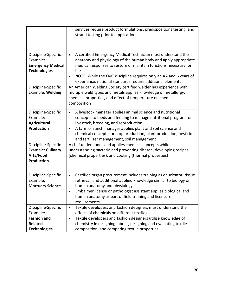|                                                                                                | services require product formulations, predispositions testing, and<br>strand testing prior to application                                                                                                                                                                                                                                                                         |
|------------------------------------------------------------------------------------------------|------------------------------------------------------------------------------------------------------------------------------------------------------------------------------------------------------------------------------------------------------------------------------------------------------------------------------------------------------------------------------------|
| Discipline-Specific<br>Example:<br><b>Emergency Medical</b><br><b>Technologies</b>             | A certified Emergency Medical Technician must understand the<br>$\bullet$<br>anatomy and physiology of the human body and apply appropriate<br>medical responses to restore or maintain functions necessary for<br>life<br>NOTE: While the EMT discipline requires only an AA and 6 years of<br>experience, national standards require additional elements                         |
| Discipline-Specific<br>Example: Welding                                                        | An American Welding Society certified welder has experience with<br>multiple weld types and metals applies knowledge of metallurgy,<br>chemical properties, and effect of temperature on chemical<br>composition                                                                                                                                                                   |
| Discipline-Specific<br>Example:<br><b>Agricultural</b><br><b>Production</b>                    | A livestock manager applies animal science and nutritional<br>$\bullet$<br>concepts to feeds and feeding to manage nutritional program for<br>livestock, breeding, and reproduction<br>A farm or ranch manager applies plant and soil science and<br>$\bullet$<br>chemical concepts for crop production, plant production, pesticide<br>and fertilizer management, soil management |
| Discipline-Specific<br>Example: Culinary<br>Arts/Food<br><b>Production</b>                     | A chef understands and applies chemical concepts while<br>understanding bacteria and preventing disease, developing recipes<br>(chemical properties), and cooking (thermal properties)                                                                                                                                                                                             |
| Discipline-Specific<br>Example:<br><b>Mortuary Science</b>                                     | Certified organ procurement includes training as enucleator, tissue<br>$\bullet$<br>retrieval, and additional applied knowledge similar to biology or<br>human anatomy and physiology<br>Embalmer license or pathologist assistant applies biological and<br>human anatomy as part of field training and licensure<br>requirements                                                 |
| Discipline-Specific<br>Example:<br><b>Fashion and</b><br><b>Related</b><br><b>Technologies</b> | Textile developers and fashion designers must understand the<br>$\bullet$<br>effects of chemicals on different textiles<br>Textile developers and fashion designers utilize knowledge of<br>$\bullet$<br>chemistry in designing fabrics, designing and evaluating textile<br>composition, and comparing textile properties                                                         |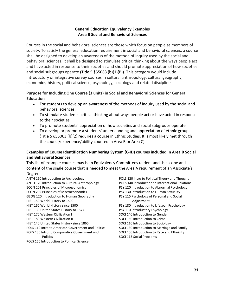## **General Education Equivalency Examples Area B Social and Behavioral Sciences**

Courses in the social and behavioral sciences are those which focus on people as members of society. To satisfy the general education requirement in social and behavioral sciences, a course shall be designed to develop an awareness of the method of inquiry used by the social and behavioral sciences. It shall be designed to stimulate critical thinking about the ways people act and have acted in response to their societies and should promote appreciation of how societies and social subgroups operate (Title 5  $\S$ 55063 (b)(1)(B)). This category would include introductory or integrative survey courses in cultural anthropology, cultural geography, economics, history, political science, psychology, sociology and related disciplines.

## **Purpose for Including One Course (3 units) in Social and Behavioral Sciences for General Education**

- For students to develop an awareness of the methods of inquiry used by the social and behavioral sciences.
- To stimulate students' critical thinking about ways people act or have acted in response to their societies
- To promote students' appreciation of how societies and social subgroups operate
- To develop or promote a students' understanding and appreciation of ethnic groups (Title 5 §55063 (b)(2) requires a course in Ethnic Studies. It is most likely met through the course/experience/ability counted in Area B or Area C)

## **Examples of Course Identification Numbering System (C-ID) courses included in Area B Social and Behavioral Sciences**

This list of example courses may help Equivalency Committees understand the scope and content of the single course that is needed to meet the Area A requirement of an Associate's Degree.

ANTH 150 Introduction to Archaeology ANTH 120 Introduction to Cultural Anthropology ECON 201 Principles of Microeconomics ECON 202 Principles of Macroeconomics GEOG 120 Introduction to Human Geography HIST 150 World History to 1500 HIST 160 World History since 1500 HIST 130 United States History to 1877 HIST 170 Western Civilization I HIST 180 Western Civilization II HIST 140 United States History since 1865 POLS 110 Intro to American Government and Politics POLS 130 Intro to Comparative Government and Politics

POLS 150 Introduction to Political Science

POLS 120 Intro to Political Theory and Thought POLS 140 Introduction to International Relations PSY 120 Introduction to Abnormal Psychology PSY 130 Introduction to Human Sexuality PSY 115 Psychology of Personal and Social Adjustment PSY 180 Introduction to Lifespan Psychology PSY 110 Introductory Psychology SOCI 140 Introduction to Gender SOCI 160 Introduction to Crime SOCI 110 Introduction to Sociology SOCI 130 Introduction to Marriage and Family SOCI 150 Introduction to Race and Ethnicity SOCI 115 Social Problems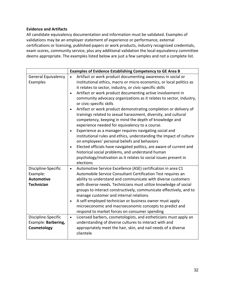#### **Evidence and Artifacts**

|                                                                                                                                        | <b>Examples of Evidence Establishing Competency to GE Area B</b>                                                                                                                                                                                                                                                                                                                                                                                                                                                                                                                                                                                                                                                                                                                                                                                                                                                                                                                                                                                                    |
|----------------------------------------------------------------------------------------------------------------------------------------|---------------------------------------------------------------------------------------------------------------------------------------------------------------------------------------------------------------------------------------------------------------------------------------------------------------------------------------------------------------------------------------------------------------------------------------------------------------------------------------------------------------------------------------------------------------------------------------------------------------------------------------------------------------------------------------------------------------------------------------------------------------------------------------------------------------------------------------------------------------------------------------------------------------------------------------------------------------------------------------------------------------------------------------------------------------------|
| <b>General Equivalency</b><br>Examples                                                                                                 | Artifact or work product documenting awareness in social or<br>institutional ethics, macro or micro economics, or local politics as<br>it relates to sector, industry, or civic-specific skills<br>Artifact or work product documenting active involvement in<br>$\bullet$<br>community advocacy organizations as it relates to sector, industry,<br>or civic-specific skills<br>Artifact or work product demonstrating completion or delivery of<br>$\bullet$<br>trainings related to sexual harassment, diversity, and cultural<br>competency, keeping in mind the depth of knowledge and<br>experience needed for equivalency to a course.<br>Experience as a manager requires navigating social and<br>$\bullet$<br>institutional rules and ethics, understanding the impact of culture<br>on employees' personal beliefs and behaviors<br>Elected officials have navigated politics, are aware of current and<br>$\bullet$<br>historical social problems, and understand human<br>psychology/motivation as it relates to social issues present in<br>elections |
| Discipline-Specific<br>Example:<br><b>Automotive</b><br><b>Technician</b><br>Discipline-Specific<br>Example: Barbering,<br>Cosmetology | Automotive Service Excellence (ASE) certification in area C1<br>$\bullet$<br>Automobile Service Consultant Certification Test requires an<br>ability to understand and communicate with diverse customers<br>with diverse needs. Technicians must utilize knowledge of social<br>groups to interact constructively, communicate effectively, and to<br>manage customer and internal relations<br>A self-employed technician or business owner must apply<br>$\bullet$<br>microeconomic and macroeconomic concepts to predict and<br>respond to market forces on consumer spending<br>Licensed barbers, cosmetologists, and estheticians must apply an<br>$\bullet$<br>understanding of diverse cultures to interact with and<br>appropriately meet the hair, skin, and nail needs of a diverse                                                                                                                                                                                                                                                                      |
|                                                                                                                                        | clientele                                                                                                                                                                                                                                                                                                                                                                                                                                                                                                                                                                                                                                                                                                                                                                                                                                                                                                                                                                                                                                                           |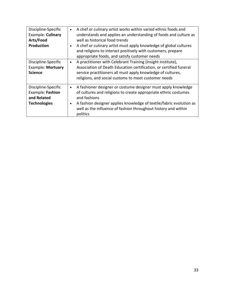| Discipline-Specific<br>Example: Culinary<br>Arts/Food<br><b>Production</b>    | A chef or culinary artist works within varied ethnic foods and<br>$\bullet$<br>understands and applies an understanding of foods and culture as<br>well as historical food trends<br>A chef or culinary artist must apply knowledge of global cultures<br>$\bullet$<br>and religions to interact positively with customers, prepare<br>appropriate foods, and satisfy customer needs |
|-------------------------------------------------------------------------------|--------------------------------------------------------------------------------------------------------------------------------------------------------------------------------------------------------------------------------------------------------------------------------------------------------------------------------------------------------------------------------------|
| Discipline-Specific<br><b>Example: Mortuary</b><br><b>Science</b>             | A practitioner with Celebrant Training (Insight Institute),<br>$\bullet$<br>Association of Death Education certification, or certified funeral<br>service practitioners all must apply knowledge of cultures,<br>religions, and social customs to meet customer needs                                                                                                                |
| Discipline-Specific<br>Example: Fashion<br>and Related<br><b>Technologies</b> | A fashioner designer or costume designer must apply knowledge<br>$\bullet$<br>of cultures and religions to create appropriate ethnic costumes<br>and fashions<br>A fashion designer applies knowledge of textile/fabric evolution as<br>$\bullet$<br>well as the influence of fashion throughout history and within<br>politics                                                      |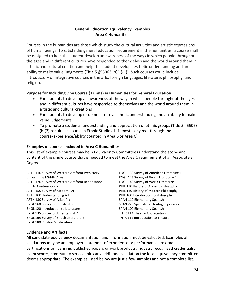## **General Education Equivalency Examples Area C Humanities**

Courses in the humanities are those which study the cultural activities and artistic expressions of human beings. To satisfy the general education requirement in the humanities, a course shall be designed to help the student develop an awareness of the ways in which people throughout the ages and in different cultures have responded to themselves and the world around them in artistic and cultural creation and help the student develop aesthetic understanding and an ability to make value judgments (Title 5  $\S$ 55063 (b)(1)(C)). Such courses could include introductory or integrative courses in the arts, foreign languages, literature, philosophy, and religion.

## **Purpose for Including One Course (3 units) in Humanities for General Education**

- For students to develop an awareness of the way in which people throughout the ages and in different cultures have responded to themselves and the world around them in artistic and cultural creations
- For students to develop or demonstrate aesthetic understanding and an ability to make value judgements
- To promote a students' understanding and appreciation of ethnic groups (Title 5 §55063 (b)(2) requires a course in Ethnic Studies. It is most likely met through the course/experience/ability counted in Area B or Area C)

## **Examples of courses included in Area C Humanities**

This list of example courses may help Equivalency Committees understand the scope and content of the single course that is needed to meet the Area C requirement of an Associate's Degree.

ARTH 110 Survey of Western Art from Prehistory through the Middle Ages ARTH 120 Survey of Western Art from Renaissance to Contemporary ARTH 150 Survey of Modern Art ARTH 100 Understanding Art ARTH 130 Survey of Asian Art ENGL 160 Survey of British Literature I ENGL 120 Introduction to Literature ENGL 135 Survey of American Lit 2 ENGL 165 Survey of British Literature 2 ENGL 180 Children's Literature

ENGL 130 Survey of American Literature 1 ENGL 145 Survey of World Literature 2 ENGL 140 Survey of World Literature 1 PHIL 130 History of Ancient Philosophy PHIL 140 History of Modern Philosophy PHIL 100 Introduction to Philosophy SPAN 110 Elementary Spanish II SPAN 220 Spanish for Heritage Speakers I SPAN 100 Elementary Spanish I THTR 112 Theatre Appreciation THTR 111 Introduction to Theatre

## **Evidence and Artifacts**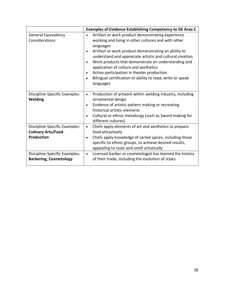|                                                                                 | Examples of Evidence Establishing Competency to GE Area C                                                                                                                                                                                                                                                                                                                                                                                                                                                               |
|---------------------------------------------------------------------------------|-------------------------------------------------------------------------------------------------------------------------------------------------------------------------------------------------------------------------------------------------------------------------------------------------------------------------------------------------------------------------------------------------------------------------------------------------------------------------------------------------------------------------|
| <b>General Equivalency</b><br>Considerations                                    | Artifact or work product demonstrating experience<br>$\bullet$<br>working and living in other cultures and with other<br>languages<br>Artifact or work product demonstrating an ability to<br>$\bullet$<br>understand and appreciate artistic and cultural creation.<br>Work products that demonstrate an understanding and<br>$\bullet$<br>application of culture and aesthetics<br>Active participation in theater production<br>$\bullet$<br>Bilingual certification or ability to read, write or speak<br>languages |
| Discipline-Specific Examples:<br><b>Welding</b>                                 | Production of artwork within welding industry, including<br>$\bullet$<br>ornamental design<br>Evidence of artistic pattern making or recreating<br>$\bullet$<br>historical artistic elements<br>Cultural or ethnic metallurgy (such as Sword making for<br>$\bullet$<br>different cultures)                                                                                                                                                                                                                             |
| Discipline-Specific Examples:<br><b>Culinary Arts/Food</b><br><b>Production</b> | Chefs apply elements of art and aesthetics to prepare<br>$\bullet$<br>food attractively<br>Chefs apply knowledge of varied spices, including those<br>$\bullet$<br>specific to ethnic groups, to achieve desired results,<br>appealing to taste and smell artistically                                                                                                                                                                                                                                                  |
| Discipline-Specific Examples:<br><b>Barbering, Cosmetology</b>                  | Licensed barber or cosmetologist has learned the history<br>$\bullet$<br>of their trade, including the evolution of styles                                                                                                                                                                                                                                                                                                                                                                                              |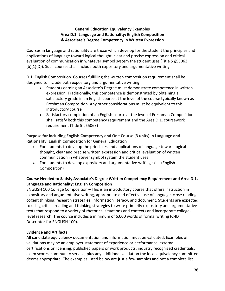## **General Education Equivalency Examples Area D.1. Language and Rationality: English Composition & Associate's Degree Competency in Written Expression**

Courses in language and rationality are those which develop for the student the principles and applications of language toward logical thought, clear and precise expression and critical evaluation of communication in whatever symbol system the student uses (Title 5 §55063 (b)(1)(D)). Such courses shall include both expository and argumentative writing.

D.1. English Composition. Courses fulfilling the written composition requirement shall be designed to include both expository and argumentative writing.

- Students earning an Associate's Degree must demonstrate competence in written expression. Traditionally, this competence is demonstrated by obtaining a satisfactory grade in an English course at the level of the course typically known as Freshman Composition. Any other considerations must be equivalent to this introductory course
- Satisfactory completion of an English course at the level of Freshman Composition shall satisfy both this competency requirement and the Area D.1. coursework requirement (Title 5 §55063)

**Purpose for Including English Competency and One Course (3 units) in Language and Rationality: English Composition for General Education**

- For students to develop the principles and applications of language toward logical thought, clear and precise written expression and critical evaluation of written communication in whatever symbol system the student uses
- For students to develop expository and argumentative writing skills (English Composition)

## **Course Needed to Satisfy Associate's Degree Written Competency Requirement and Area D.1. Language and Rationality: English Composition**

ENGLISH 100 College Composition – This is an introductory course that offers instruction in expository and argumentative writing, appropriate and effective use of language, close reading, cogent thinking, research strategies, information literacy, and document. Students are expected to using critical reading and thinking strategies to write primarily expository and argumentative texts that respond to a variety of rhetorical situations and contexts and incorporate collegelevel research. The course includes a minimum of 6,000 words of formal writing (C-ID Descriptor for ENGLISH 100).

## **Evidence and Artifacts**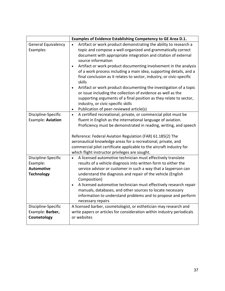|                                                                           | Examples of Evidence Establishing Competency to GE Area D.1.                                                                                                                                                                                                                                                                                                                                                                                                                                                                                                                                                                                                                                                                                                                             |
|---------------------------------------------------------------------------|------------------------------------------------------------------------------------------------------------------------------------------------------------------------------------------------------------------------------------------------------------------------------------------------------------------------------------------------------------------------------------------------------------------------------------------------------------------------------------------------------------------------------------------------------------------------------------------------------------------------------------------------------------------------------------------------------------------------------------------------------------------------------------------|
| <b>General Equivalency</b><br>Examples                                    | Artifact or work product demonstrating the ability to research a<br>topic and compose a well-organized and grammatically correct<br>document with appropriate integration and citation of external<br>source information<br>Artifact or work product documenting involvement in the analysis<br>$\bullet$<br>of a work process including a main idea, supporting details, and a<br>final conclusion as it relates to sector, industry, or civic-specific<br>skills<br>Artifact or work product documenting the investigation of a topic<br>$\bullet$<br>or issue including the collection of evidence as well as the<br>supporting arguments of a final position as they relate to sector,<br>industry, or civic-specific skills<br>Publication of peer-reviewed article(s)<br>$\bullet$ |
| Discipline-Specific<br>Example: Aviation                                  | A certified recreational, private, or commercial pilot must be<br>$\bullet$<br>fluent in English as the international language of aviation.<br>Proficiency must be demonstrated in reading, writing, and speech<br>Reference: Federal Aviation Regulation (FAR) 61.185(2) The<br>aeronautical knowledge areas for a recreational, private, and<br>commercial pilot certificate applicable to the aircraft industry for<br>which flight instructor privileges are sought.                                                                                                                                                                                                                                                                                                                 |
| Discipline-Specific<br>Example:<br><b>Automotive</b><br><b>Technology</b> | A licensed automotive technician must effectively translate<br>$\bullet$<br>results of a vehicle diagnosis into written form to either the<br>service advisor or customer in such a way that a layperson can<br>understand the diagnosis and repair of the vehicle (English<br>Composition)<br>A licensed automotive technician must effectively research repair<br>$\bullet$<br>manuals, databases, and other sources to locate necessary<br>information to understand problems and to propose and perform<br>necessary repairs                                                                                                                                                                                                                                                         |
| Discipline-Specific<br>Example: Barber,<br>Cosmetology                    | A licensed barber, cosmetologist, or esthetician may research and<br>write papers or articles for consideration within industry periodicals<br>or websites                                                                                                                                                                                                                                                                                                                                                                                                                                                                                                                                                                                                                               |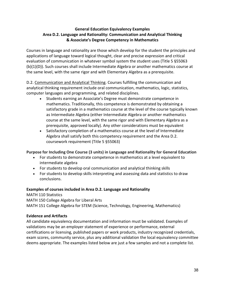## **General Education Equivalency Examples Area D.2. Language and Rationality: Communication and Analytical Thinking & Associate's Degree Competency in Mathematics**

Courses in language and rationality are those which develop for the student the principles and applications of language toward logical thought, clear and precise expression and critical evaluation of communication in whatever symbol system the student uses (Title 5 §55063 (b)(1)(D)). Such courses shall include Intermediate Algebra or another mathematics course at the same level, with the same rigor and with Elementary Algebra as a prerequisite.

D.2. Communication and Analytical Thinking. Courses fulfilling the communication and analytical thinking requirement include oral communication, mathematics, logic, statistics, computer languages and programming, and related disciplines.

- Students earning an Associate's Degree must demonstrate competence in mathematics. Traditionally, this competence is demonstrated by obtaining a satisfactory grade in a mathematics course at the level of the course typically known as Intermediate Algebra (either Intermediate Algebra or another mathematics course at the same level, with the same rigor and with Elementary Algebra as a prerequisite, approved locally). Any other considerations must be equivalent
- Satisfactory completion of a mathematics course at the level of Intermediate Algebra shall satisfy both this competency requirement and the Area D.2. coursework requirement (Title 5 §55063)

## **Purpose for Including One Course (3 units) in Language and Rationality for General Education**

- For students to demonstrate competence in mathematics at a level equivalent to intermediate algebra
- For students to develop oral communication and analytical thinking skills
- For students to develop skills interpreting and assessing data and statistics to draw conclusions.

## **Examples of courses included in Area D.2. Language and Rationality**

MATH 110 Statistics MATH 150 College Algebra for Liberal Arts MATH 151 College Algebra for STEM (Science, Technology, Engineering, Mathematics)

## **Evidence and Artifacts**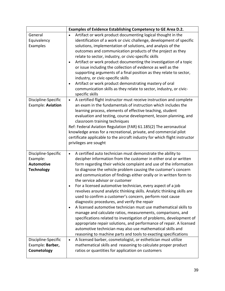|                                                                           | Examples of Evidence Establishing Competency to GE Area D.2.                                                                                                                                                                                                                                                                                                                                                                                                                                                                                                                                                                                                                                                                                                                                                                                                                                                                                                                                                                                                       |  |
|---------------------------------------------------------------------------|--------------------------------------------------------------------------------------------------------------------------------------------------------------------------------------------------------------------------------------------------------------------------------------------------------------------------------------------------------------------------------------------------------------------------------------------------------------------------------------------------------------------------------------------------------------------------------------------------------------------------------------------------------------------------------------------------------------------------------------------------------------------------------------------------------------------------------------------------------------------------------------------------------------------------------------------------------------------------------------------------------------------------------------------------------------------|--|
| General<br>Equivalency<br>Examples                                        | Artifact or work product documenting logical thought in the<br>identification of a work or civic challenge, development of specific<br>solutions, implementation of solutions, and analysis of the<br>outcomes and communication products of the project as they<br>relate to sector, industry, or civic-specific skills<br>Artifact or work product documenting the investigation of a topic<br>or issue including the collection of evidence as well as the<br>supporting arguments of a final position as they relate to sector,<br>industry, or civic-specific skills<br>Artifact or work product demonstrating mastery of oral<br>communication skills as they relate to sector, industry, or civic-<br>specific skills                                                                                                                                                                                                                                                                                                                                       |  |
| Discipline-Specific<br>Example: Aviation                                  | A certified flight instructor must receive instruction and complete<br>$\bullet$<br>an exam in the fundamentals of instruction which includes the<br>learning process, elements of effective teaching, student<br>evaluation and testing, course development, lesson planning, and<br>classroom training techniques<br>Ref: Federal Aviation Regulation (FAR) 61.185(2) The aeronautical<br>knowledge areas for a recreational, private, and commercial pilot<br>certificate applicable to the aircraft industry for which flight instructor<br>privileges are sought                                                                                                                                                                                                                                                                                                                                                                                                                                                                                              |  |
| Discipline-Specific<br>Example:<br><b>Automotive</b><br><b>Technology</b> | A certified auto technician must demonstrate the ability to<br>$\bullet$<br>decipher information from the customer in either oral or written<br>form regarding their vehicle complaint and use of the information<br>to diagnose the vehicle problem causing the customer's concern<br>and communication of findings either orally or in written form to<br>the service advisor or customer<br>For a licensed automotive technician, every aspect of a job<br>revolves around analytic thinking skills. Analytic thinking skills are<br>used to confirm a customer's concern, perform root cause<br>diagnostic procedures, and verify the repair<br>A licensed automotive technician must use mathematical skills to<br>manage and calculate ratios, measurements, comparisons, and<br>specifications related to investigation of problems, development of<br>appropriate repair solutions, and performance of repair. A licensed<br>automotive technician may also use mathematical skills and<br>reasoning to machine parts and tools to exacting specifications |  |
| Discipline-Specific<br>Example: Barber,<br>Cosmetology                    | A licensed barber, cosmetologist, or esthetician must utilize<br>$\bullet$<br>mathematical skills and reasoning to calculate proper product<br>ratios or quantities for application on customers                                                                                                                                                                                                                                                                                                                                                                                                                                                                                                                                                                                                                                                                                                                                                                                                                                                                   |  |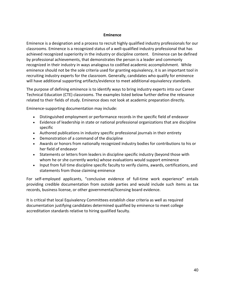#### **Eminence**

Eminence is a designation and a process to recruit highly qualified industry professionals for our classrooms. Eminence is a recognized status of a well-qualified industry professional that has achieved recognized superiority in the industry or discipline content. Eminence can be defined by professional achievements, that demonstrates the person is a leader and commonly recognized in their industry in ways analogous to codified academic accomplishment. While eminence should not be the sole criteria used for granting equivalency, it is an important tool in recruiting industry experts for the classroom. Generally, candidates who qualify for eminence will have additional supporting artifacts/evidence to meet additional equivalency standards.

The purpose of defining eminence is to identify ways to bring industry experts into our Career Technical Education (CTE) classrooms. The examples listed below further define the relevance related to their fields of study. Eminence does not look at academic preparation directly.

Eminence-supporting documentation may include:

- Distinguished employment or performance records in the specific field of endeavor
- Evidence of leadership in state or national professional organizations that are discipline specific
- Authored publications in industry specific professional journals in their entirety
- Demonstration of a command of the discipline
- Awards or honors from nationally recognized industry bodies for contributions to his or her field of endeavor
- Statements or letters from leaders in discipline specific industry (beyond those with whom he or she currently works) whose evaluations would support eminence
- Input from full time discipline specific faculty to verify claims, awards, certifications, and statements from those claiming eminence

For self-employed applicants, "conclusive evidence of full-time work experience" entails providing credible documentation from outside parties and would include such items as tax records, business license, or other governmental/licensing board evidence.

It is critical that local Equivalency Committees establish clear criteria as well as required documentation justifying candidates determined qualified by eminence to meet college accreditation standards relative to hiring qualified faculty.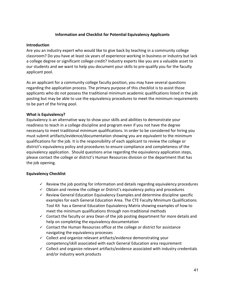## **Information and Checklist for Potential Equivalency Applicants**

#### **Introduction**

Are you an industry expert who would like to give back by teaching in a community college classroom? Do you have at least six years of experience working in business or industry but lack a college degree or significant college credit? Industry experts like you are a valuable asset to our students and we want to help you document your skills to pre-qualify you for the faculty applicant pool.

As an applicant for a community college faculty position, you may have several questions regarding the application process. The primary purpose of this checklist is to assist those applicants who do not possess the traditional minimum academic qualifications listed in the job posting but may be able to use the equivalency procedures to meet the minimum requirements to be part of the hiring pool.

## **What is Equivalency?**

Equivalency is an alternative way to show your skills and abilities to demonstrate your readiness to teach in a college discipline and program even if you not have the degree necessary to meet traditional minimum qualifications. In order to be considered for hiring you must submit artifacts/evidence/documentation showing you are equivalent to the minimum qualifications for the job. It is the responsibility of each applicant to review the college or district's equivalency policy and procedures to ensure compliance and completeness of the equivalency application. Should questions arise regarding the equivalency application steps, please contact the college or district's Human Resources division or the department that has the job opening.

## **Equivalency Checklist**

- $\checkmark$  Review the job posting for information and details regarding equivalency procedures
- $\checkmark$  Obtain and review the college or District's equivalency policy and procedures
- $\checkmark$  Review General Education Equivalency Examples and determine discipline specific examples for each General Education Area. The CTE Faculty Minimum Qualifications Tool Kit has a General Education Equivalency Matrix showing examples of how to meet the minimum qualifications through non-traditional methods
- $\checkmark$  Contact the faculty or area Dean of the job posting department for more details and help on completing the equivalency documentation
- $\checkmark$  Contact the Human Resources office at the college or district for assistance navigating the equivalency processes
- $\checkmark$  Collect and organize relevant artifacts/evidence demonstrating your competency/skill associated with each General Education area requirement
- $\checkmark$  Collect and organize relevant artifacts/evidence associated with industry credentials and/or industry work products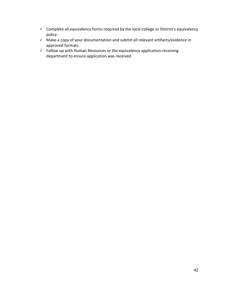- $\checkmark$  Complete all equivalency forms required by the local college or District's equivalency policy
- $\checkmark$  Make a copy of your documentation and submit all relevant artifacts/evidence in approved formats
- $\checkmark$  Follow up with Human Resources or the equivalency application-receiving department to ensure application was received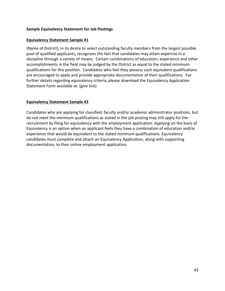#### **Sample Equivalency Statement for Job Postings**

#### **Equivalency Statement Sample #1**

(Name of District), in its desire to select outstanding faculty members from the largest possible pool of qualified applicants, recognizes the fact that candidates may attain expertise in a discipline through a variety of means. Certain combinations of education, experience and other accomplishments in the field may be judged by the District as equal to the stated minimum qualifications for this position. Candidates who feel they possess such equivalent qualifications are encouraged to apply and provide appropriate documentation of their qualifications. For further details regarding equivalency criteria, please download the Equivalency Application Statement Form available at: (give link)

#### **Equivalency Statement Sample #2**

Candidates who are applying for classified, faculty and/or academic administrator positions, but do not meet the minimum qualifications as stated in the job posting may still apply for the recruitment by filing for equivalency with the employment application. Applying on the basis of Equivalency is an option when an applicant feels they have a combination of education and/or experience that would be equivalent to the stated minimum qualifications. Equivalency candidates must complete and attach an Equivalency Application, along with supporting documentation, to their online employment application.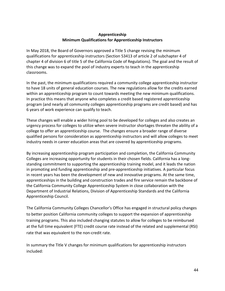## **Apprenticeship Minimum Qualifications for Apprenticeship Instructors**

In May 2018, the Board of Governors approved a Title 5 change revising the minimum qualifications for apprenticeship instructors (Section 53413 of article 2 of subchapter 4 of chapter 4 of division 6 of title 5 of the California Code of Regulations). The goal and the result of this change was to expand the pool of industry experts to teach in the apprenticeship classrooms.

In the past, the minimum qualifications required a community college apprenticeship instructor to have 18 units of general education courses. The new regulations allow for the credits earned within an apprenticeship program to count towards meeting the new minimum qualifications. In practice this means that anyone who completes a credit based registered apprenticeship program (and nearly all community colleges apprenticeship programs are credit based) and has 6 years of work experience can qualify to teach.

These changes will enable a wider hiring pool to be developed for colleges and also creates an urgency process for colleges to utilize when severe instructor shortages threaten the ability of a college to offer an apprenticeship course. The changes ensure a broader range of diverse qualified persons for consideration as apprenticeship instructors and will allow colleges to meet industry needs in career education areas that are covered by apprenticeship programs.

By increasing apprenticeship program participation and completion, the California Community Colleges are increasing opportunity for students in their chosen fields. California has a longstanding commitment to supporting the apprenticeship training model, and it leads the nation in promoting and funding apprenticeship and pre-apprenticeship initiatives. A particular focus in recent years has been the development of new and innovative programs. At the same time, apprenticeships in the building and construction trades and fire service remain the backbone of the California Community College Apprenticeship System in close collaboration with the Department of Industrial Relations, Division of Apprenticeship Standards and the California Apprenticeship Council.

The California Community Colleges Chancellor's Office has engaged in structural policy changes to better position California community colleges to support the expansion of apprenticeship training programs. This also included changing statutes to allow for colleges to be reimbursed at the full time equivalent (FTE) credit course rate instead of the related and supplemental (RSI) rate that was equivalent to the non-credit rate.

In summary the Title V changes for minimum qualifications for apprenticeship instructors included: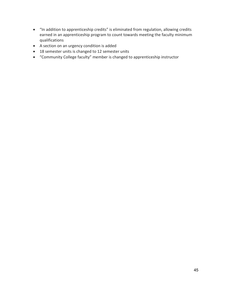- "In addition to apprenticeship credits" is eliminated from regulation, allowing credits earned in an apprenticeship program to count towards meeting the faculty minimum qualifications
- A section on an urgency condition is added
- 18 semester units is changed to 12 semester units
- "Community College faculty" member is changed to apprenticeship instructor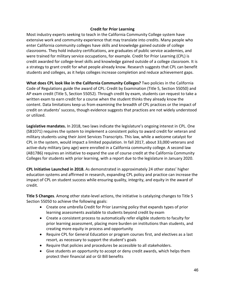#### **Credit for Prior Learning**

Most industry experts seeking to teach in the California Community College system have extensive work and community experience that may translate into credits. Many people who enter California community colleges have skills and knowledge gained outside of college classrooms. They hold industry certifications, are graduates of public service academies, and were trained for military service occupations, for example. Credit for Prior Learning (CPL) is credit awarded for college-level skills and knowledge gained outside of a college classroom. It is a strategy to grant credit for what people already know. Research suggests that CPL can benefit students and colleges, as it helps colleges increase completion and reduce achievement gaps.

**What does CPL look like in the California Community Colleges?** Two policies in the California Code of Regulations guide the award of CPL: Credit by Examination (Title 5, Section 55050) and AP exam credit (Title 5, Section 55052). Through credit by exam, students can request to take a written exam to earn credit for a course when the student thinks they already know the content. Data limitations keep us from examining the breadth of CPL practices or the impact of credit on students' success, though evidence suggests that practices are not widely understood or utilized.

**Legislative mandates.** In 2018, two laws indicate the legislature's ongoing interest in CPL. One (SB1071) requires the system to implement a consistent policy to award credit for veteran and military students using their Joint Services Transcripts. This law, while a welcome catalyst for CPL in the system, would impact a limited population. In fall 2017, about 33,000 veterans and active-duty military (any age) were enrolled in a California community college. A second law (AB1786) requires an initiative to expand the use of course credit at the California Community Colleges for students with prior learning, with a report due to the legislature in January 2020.

**CPL Initiative Launched in 2018.** As demonstrated in approximately 24 other states' higher education systems and affirmed in research, expanding CPL policy and practice can increase the impact of CPL on student success while ensuring quality, integrity, and equity in the award of credit.

**Title 5 Changes**. Among other state-level actions, the initiative is catalyzing changes to Title 5 Section 55050 to achieve the following goals:

- Create one umbrella Credit for Prior Learning policy that expands types of prior learning assessments available to students beyond credit by exam
- Create a consistent process to automatically refer eligible students to faculty for prior learning assessment, placing more burden on institutions than students, and creating more equity in process and opportunity
- Require CPL for General Education or program courses first, and electives as a last resort, as necessary to support the student's goals
- Require that policies and procedures be accessible to all stakeholders.
- Give students an opportunity to accept or deny credit awards, which helps them protect their financial aid or GI Bill benefits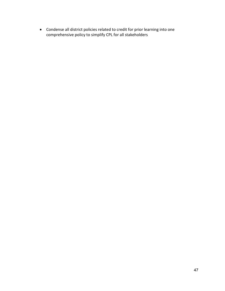• Condense all district policies related to credit for prior learning into one comprehensive policy to simplify CPL for all stakeholders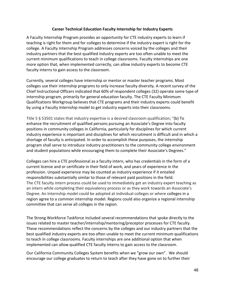#### **Career Technical Education Faculty Internship for Industry Experts**

A Faculty Internship Program provides an opportunity for CTE industry experts to learn if teaching is right for them and for colleges to determine if the industry expert is right for the college. A Faculty Internship Program addresses concerns voiced by the colleges and their industry partners that the best qualified industry experts are too often unable to meet the current minimum qualifications to teach in college classrooms. Faculty internships are one more option that, when implemented correctly, can allow industry experts to become CTE faculty interns to gain access to the classroom.

Currently, several colleges have internship or mentor or master teacher programs. Most colleges use their internship programs to only increase faculty diversity. A recent survey of the Chief Instructional Officers indicated that 60% of respondent colleges (32) operate some type of internship program, primarily for general education faculty. The CTE Faculty Minimum Qualifications Workgroup believes that CTE programs and their industry experts could benefit by using a Faculty Internship model to get industry experts into their classrooms.

Title 5 § 53501 states that industry expertise is a desired classroom qualification; "(b) To enhance the recruitment of qualified persons pursuing an Associate's Degree into faculty positions in community colleges in California, particularly for disciplines for which current industry experience is important and disciplines for which recruitment is difficult and in which a shortage of faculty is anticipated. In order to accomplish these purposes, the internship program shall serve to introduce industry practitioners to the community college environment and student populations while encouraging them to complete their Associate's Degrees."

Colleges can hire a CTE professional as a faculty intern, who has credentials in the form of a current license and or certificate in their field of work, and years of experience in the profession. Unpaid experience may be counted as industry experience if it entailed responsibilities substantially similar to those of relevant paid positions in the field. The CTE faculty intern process could be used to immediately get an industry expert teaching as an intern while completing their equivalency process or as they work towards an Associate's Degree. An Internship model could be adopted at individual colleges or where colleges in a region agree to a common internship model. Regions could also organize a regional internship committee that can serve all colleges in the region.

The Strong Workforce Taskforce included several recommendations that spoke directly to the issues related to master teacher/internship/mentoring/preceptor processes for CTE faculty. These recommendations reflect the concerns by the colleges and our industry partners that the best qualified industry experts are too often unable to meet the current minimum qualifications to teach in college classrooms. Faculty internships are one additional option that when implemented can allow qualified CTE faculty interns to gain access to the classroom.

Our California Community Colleges System benefits when we "grow our own". We should encourage our college graduates to return to teach after they have gone on to further their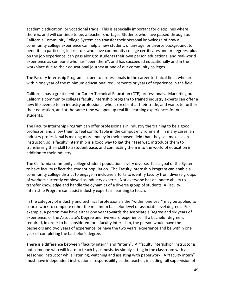academic education, or vocational trade. This is especially important for disciplines where there is, and will continue to be, a teacher shortage. Students who have passed through our California Community College System can transfer their personal knowledge of how a community college experience can help a new student, of any age, or diverse background, to benefit. In particular, instructors who have community college certificates and or degrees, plus on the job experience, can pass along to students their own person educational and real-world experience as someone who has "been there", and has succeeded educationally and in the workplace due to their educational journey at one of our community colleges.

The Faculty Internship Program is open to professionals in the career technical field, who are within one year of the minimum educational requirements or years of experience in the field.

California has a great need for Career Technical Education (CTE) professionals. Marketing our California community colleges faculty internship program to trained industry experts can offer a new life avenue to an industry professional who is excellent at their trade, and wants to further their education, and at the same time we open up real life learning experiences for our students.

The Faculty Internship Program can offer professionals in industry the training to be a good professor, and allow them to feel comfortable in the campus environment. In many cases, an industry professional is making more money in their chosen field than they can make as an instructor; so, a faculty internship is a good way to get their feet wet, introduce them to transferring their skill to a student base, and connecting them into the world of education in addition to their industry.

The California community college student population is very diverse. It is a goal of the System to have faculty reflect the student population. The Faculty Internship Program can enable a community college district to engage in inclusive efforts to identify faculty from diverse groups of workers currently employed as industry experts. Not everyone has an innate ability to transfer knowledge and handle the dynamics of a diverse group of students. A Faculty Internship Program can assist industry experts in learning to teach.

In the category of industry and technical professionals the "within one year" may be applied to course work to complete either the minimum bachelor level or associate level degrees. For example, a person may have either one year towards the Associate's Degree and six years of experience, or the Associate's Degree and five years' experience. If a bachelor degree is required, in order to be considered for a faculty internship, the person would have the bachelors and two years of experience, or have the two years' experience and be within one year of completing the bachelor's degree.

There is a difference between "faculty intern" and "intern". A "faculty internship" instructor is not someone who will learn to teach by osmosis, by simply sitting in the classroom with a seasoned instructor while listening, watching and assisting with paperwork. A "faculty intern" must have independent instructional responsibility as the teacher, including full supervision of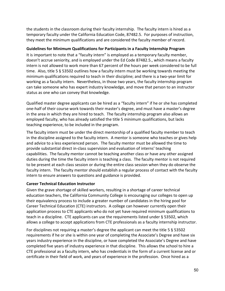the students in the classroom during their faculty internship. The faculty intern is hired as a temporary faculty under the California Education Code, 87482.5. For purposes of instruction, they meet the minimum qualifications and are considered the faculty member of record.

#### **Guidelines for Minimum Qualifications for Participants in a Faculty Internship Program**

It is important to note that a "faculty intern" is employed as a temporary faculty member, doesn't accrue seniority, and is employed under the Ed Code 87482.5., which means a faculty intern is not allowed to work more than 67 percent of the hours per week considered to be full time. Also, title 5 § 53502 outlines how a faculty intern must be working towards meeting the minimum qualifications required to teach in their discipline; and there is a two-year limit for working as a faculty intern. Nevertheless, in those two years, the faculty internship program can take someone who has expert industry knowledge, and move that person to an instructor status as one who can convey that knowledge.

Qualified master degree applicants can be hired as a "faculty intern" if he or she has completed one-half of their course work towards their master's degree, and must have a master's degree in the area in which they are hired to teach. The faculty internship program also allows an employed faculty, who has already satisfied the title 5 minimum qualifications, but lacks teaching experience, to be included in the program.

The faculty intern must be under the direct mentorship of a qualified faculty member to teach in the discipline assigned to the faculty intern. A mentor is someone who teaches or gives help and advice to a less experienced person. The faculty mentor must be allowed the time to provide substantial direct in-class supervision and evaluation of interns' teaching capabilities. The faculty mentor cannot be teaching another class or have any other assigned duties during the time the faculty intern is teaching a class. The faculty mentor is not required to be present at each class session or during the entire class session when they do observe the faculty intern. The faculty mentor should establish a regular process of contact with the faculty intern to ensure answers to questions and guidance is provided.

## **Career Technical Education Instructor**

Given the grave shortage of skilled workers, resulting in a shortage of career technical education teachers, the California Community College is encouraging our colleges to open up their equivalency process to include a greater number of candidates in the hiring pool for Career Technical Education (CTE) instructors. A college can however currently open their application process to CTE applicants who do not yet have required minimum qualifications to teach in a discipline. CTE applicants can use the requirements listed under § 53502, which allows a college to accept applications from CTE professionals as a faculty internship instructor.

For disciplines not requiring a master's degree the applicant can meet the title 5 § 53502 requirements if he or she is within one year of completing the Associate's Degree and have six years industry experience in the discipline, or have completed the Associate's Degree and have completed five years of industry experience in that discipline. This allows the school to hire a CTE professional as a faculty intern, who has credentials in the form of a current license and or certificate in their field of work, and years of experience in the profession. Once hired as a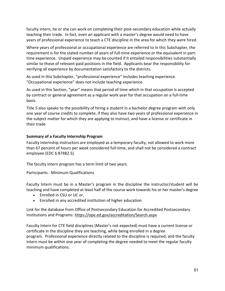faculty intern, he or she can work on completing their post-secondary education while actually teaching their trade. In fact, even an applicant with a master's degree would need to have years of professional experience to teach a CTE discipline in the area for which they were hired.

Where years of professional or occupational experience are referred to in this Subchapter, the requirement is for the stated number of years of full-time experience or the equivalent in parttime experience. Unpaid experience may be counted if it entailed responsibilities substantially similar to those of relevant paid positions in the field. Applicants bear the responsibility for verifying all experience by documentation satisfactory to the districts.

As used in this Subchapter, "professional experience" includes teaching experience. "Occupational experience" does not include teaching experience.

As used in this Section, "year" means that period of time which in that occupation is accepted by contract or general agreement as a regular work year for that occupation on a full-time basis.

Title 5 also speaks to the possibility of hiring a student in a bachelor degree program with only one year of course credits to complete, if they also have two years of professional experience in the subject matter for which they are applying to instruct, and have a license or certificate in their trade

## **Summary of a Faculty Internship Program**

Faculty Internship instructors are employed as a temporary faculty, not allowed to work more than 67 percent of hours per week considered full-time, and shall not be considered a contract employee (EDC § 87482.5).

The faculty intern program has a term limit of two years.

Participants - Minimum Qualifications

Faculty Intern must be in a Master's program in the discipline the instructor/student will be teaching and have completed at least half of the course work towards his or her master's degree

- Enrolled in CSU or UC or,
- Enrolled in any accredited institution of higher education

Link for the database from Office of Postsecondary Education for Accredited Postsecondary Institutions and Programs:<https://ope.ed.gov/accreditation/Search.aspx>

Faculty Intern for CTE field disciplines (Master's not expected) must have a current license or certificate in the discipline they are teaching, while being enrolled in a degree program. Professional experience directly related to the discipline is required, and the faculty intern must be within one year of completing the degree needed to meet the regular faculty minimum qualifications.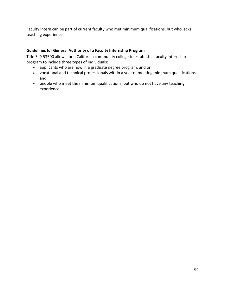Faculty Intern can be part of current faculty who met minimum qualifications, but who lacks teaching experience.

## **Guidelines for General Authority of a Faculty Internship Program**

Title 5, § 53500 allows for a California community college to establish a faculty internship program to include three types of individuals:

- applicants who are now in a graduate degree program, and or
- vocational and technical professionals within a year of meeting minimum qualifications, and
- people who meet the minimum qualifications, but who do not have any teaching experience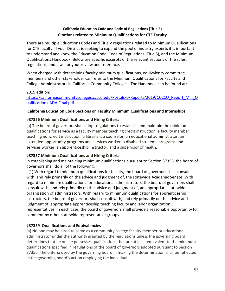## **California Education Code and Code of Regulations (Title 5) Citations related to Minimum Qualifications for CTE Faculty**

There are multiple Educations Codes and Title V regulations related to Minimum Qualifications for CTE faculty. If your District is seeking to expand the pool of industry experts it is important to understand and know the Education Code, Code of Regulations (Title 5), and the Minimum Qualifications Handbook. Below are specific excerpts of the relevant sections of the rules, regulations, and laws for your review and reference.

When charged with determining faculty minimum qualifications, equivalency committee members and other stakeholder can refer to the Minimum Qualifications for Faculty and College Administrators in California Community Colleges. The Handbook can be found at:

#### 2019 edition: [https://californiacommunitycolleges.cccco.edu/Portals/0/Reports/2019/CCCCO\\_Report\\_Min\\_Q](https://californiacommunitycolleges.cccco.edu/Portals/0/Reports/2019/CCCCO_Report_Min_Qualifications-ADA-Final.pdf) [ualifications-ADA-Final.pdf](https://californiacommunitycolleges.cccco.edu/Portals/0/Reports/2019/CCCCO_Report_Min_Qualifications-ADA-Final.pdf)

## **California Education Code Sections on Faculty Minimum Qualifications and Internships**

## **§87356 Minimum Qualifications and Hiring Criteria**

(a) The board of governors shall adopt regulations to establish and maintain the minimum qualifications for service as a faculty member teaching credit instruction, a faculty member teaching noncredit instruction, a librarian, a counselor, an educational administrator, an extended opportunity programs and services worker, a disabled students programs and services worker, an apprenticeship instructor, and a supervisor of health.

## **§87357 Minimum Qualifications and Hiring Criteria**

In establishing and maintaining minimum qualifications pursuant to Section 87356, the board of governors shall do all of the following:

 (1) With regard to minimum qualifications for faculty, the board of governors shall consult with, and rely primarily on the advice and judgment of, the statewide Academic Senate. With regard to minimum qualifications for educational administrators, the board of governors shall consult with, and rely primarily on the advice and judgment of, an appropriate statewide organization of administrators. With regard to minimum qualifications for apprenticeship instructors, the board of governors shall consult with, and rely primarily on the advice and judgment of, appropriate apprenticeship teaching faculty and labor organization representatives. In each case, the board of governors shall provide a reasonable opportunity for comment by other statewide representative groups.

## **§87359 Qualifications and Equivalencies**

(a) No one may be hired to serve as a community college faculty member or educational administrator under the authority granted by the regulations unless the governing board determines that he or she possesses qualifications that are at least equivalent to the minimum qualifications specified in regulations of the board of governors adopted pursuant to Section 87356. The criteria used by the governing board in making the determination shall be reflected in the governing board's action employing the individual.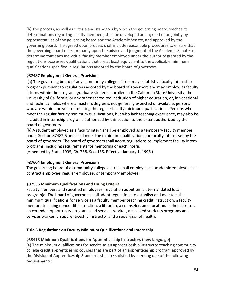(b) The process, as well as criteria and standards by which the governing board reaches its determinations regarding faculty members, shall be developed and agreed upon jointly by representatives of the governing board and the Academic Senate, and approved by the governing board. The agreed upon process shall include reasonable procedures to ensure that the governing board relies primarily upon the advice and judgment of the Academic Senate to determine that each individual faculty member employed under the authority granted by the regulations possesses qualifications that are at least equivalent to the applicable minimum qualifications specified in regulations adopted by the board of governors.

## **§87487 Employment General Provisions**

(a) The governing board of any community college district may establish a faculty internship program pursuant to regulations adopted by the board of governors and may employ, as faculty interns within the program, graduate students enrolled in the California State University, the University of California, or any other accredited institution of higher education, or, in vocational and technical fields where a master s degree is not generally expected or available, persons who are within one year of meeting the regular faculty minimum qualifications. Persons who meet the regular faculty minimum qualifications, but who lack teaching experience, may also be included in internship programs authorized by this section to the extent authorized by the board of governors.

(b) A student employed as a faculty intern shall be employed as a temporary faculty member under Section 87482.5 and shall meet the minimum qualifications for faculty interns set by the board of governors. The board of governors shall adopt regulations to implement faculty intern programs, including requirements for mentoring of each intern.

(Amended by Stats. 1995, Ch. 758, Sec. 155. Effective January 1, 1996.)

## **§87604 Employment General Provisions**

The governing board of a community college district shall employ each academic employee as a contract employee, regular employee, or temporary employee.

## **§87536 Minimum Qualifications and Hiring Criteria**

Faculty members and specified employees; regulation adoption; state-mandated local program(a) The board of governors shall adopt regulations to establish and maintain the minimum qualifications for service as a faculty member teaching credit instruction, a faculty member teaching noncredit instruction, a librarian, a counselor, an educational administrator, an extended opportunity programs and services worker, a disabled students programs and services worker, an apprenticeship instructor and a supervisor of health.

## **Title 5 Regulations on Faculty Minimum Qualifications and Internship**

## **§53413 Minimum Qualifications for Apprenticeship Instructors (new language)**

(a) The minimum qualifications for service as an apprenticeship instructor teaching community college credit apprenticeship courses that are part of an apprenticeship program approved by the Division of Apprenticeship Standards shall be satisfied by meeting one of the following requirements: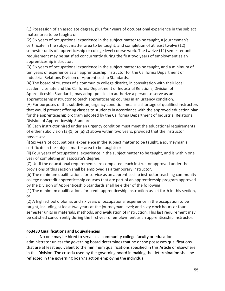(1) Possession of an associate degree, plus four years of occupational experience in the subject matter area to be taught; or

(2) Six years of occupational experience in the subject matter to be taught, a journeyman's certificate in the subject matter area to be taught, and completion of at least twelve (12) semester units of apprenticeship or college level course work. The twelve (12) semester unit requirement may be satisfied concurrently during the first two years of employment as an apprenticeship instructor.

(3) Six years of occupational experience in the subject matter to be taught, and a minimum of ten years of experience as an apprenticeship instructor for the California Department of Industrial Relations Division of Apprenticeship Standards.

(4) The board of trustees of a community college district, in consultation with their local academic senate and the California Department of Industrial Relations, Division of Apprenticeship Standards, may adopt policies to authorize a person to serve as an apprenticeship instructor to teach apprenticeship courses in an urgency condition.

(A) For purposes of this subdivision, urgency condition means a shortage of qualified instructors that would prevent offering classes to students in accordance with the approved education plan for the apprenticeship program adopted by the California Department of Industrial Relations, Division of Apprenticeship Standards.

(B) Each instructor hired under an urgency condition must meet the educational requirements of either subdivision (a)(1) or (a)(2) above within two years, provided that the instructor possesses:

(i) Six years of occupational experience in the subject matter to be taught, a journeyman's certificate in the subject matter area to be taught: or

(ii) Four years of occupational experience in the subject matter to be taught, and is within one year of completing an associate's degree.

(C) Until the educational requirements are completed, each instructor approved under the provisions of this section shall be employed as a temporary instructor.

(b) The minimum qualifications for service as an apprenticeship instructor teaching community college noncredit apprenticeship courses that are part of an apprenticeship program approved by the Division of Apprenticeship Standards shall be either of the following:

(1) The minimum qualifications for credit apprenticeship instruction as set forth in this section, or

(2) A high school diploma; and six years of occupational experience in the occupation to be taught, including at least two years at the journeyman level; and sixty clock hours or four semester units in materials, methods, and evaluation of instruction. This last requirement may be satisfied concurrently during the first year of employment as an apprenticeship instructor.

## **§53430 Qualifications and Equivalencies**

a. No one may be hired to serve as a community college faculty or educational administrator unless the governing board determines that he or she possesses qualifications that are at least equivalent to the minimum qualifications specified in this Article or elsewhere in this Division. The criteria used by the governing board in making the determination shall be reflected in the governing board's action employing the individual.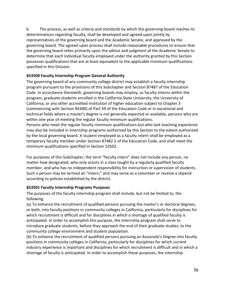b. The process, as well as criteria and standards by which the governing board reaches its determinations regarding faculty, shall be developed and agreed upon jointly by representatives of the governing board and the Academic Senate, and approved by the governing board. The agreed upon process shall include reasonable procedures to ensure that the governing board relies primarily upon the advice and judgment of the Academic Senate to determine that each individual faculty employed under the authority granted by this Section possesses qualifications that are at least equivalent to the applicable minimum qualifications specified in this Division.

## **§53500 Faculty Internship Program General Authority**

The governing board of any community college district may establish a faculty internship program pursuant to the provisions of this Subchapter and Section 87487 of the Education Code. In accordance therewith, governing boards may employ, as faculty interns within the program, graduate students enrolled in the California State University, the University of California, or any other accredited institution of higher education subject to Chapter 3 (commencing with Section 94300) of Part 59 of the Education Code or in vocational and technical fields where a master's degree is not generally expected or available, persons who are within one year of meeting the regular faculty minimum qualifications.

Persons who meet the regular faculty minimum qualifications but who lack teaching experience may also be included in internship programs authorized by this Section to the extent authorized by the local governing board. A student employed as a faculty intern shall be employed as a temporary faculty member under Section 87482.5 of the Education Code, and shall meet the minimum qualifications specified in Section 53502.

For purposes of this Subchapter, the term "faculty intern" does not include any person, no matter how designated, who only assists in a class taught by a regularly qualified faculty member, and who has no independent responsibility for instruction or supervision of students. Such a person may be termed an "intern," and may serve as a volunteer or receive a stipend according to policies established by the district.

## **§53501 Faculty Internship Programs Purposes**

The purposes of the faculty internship program shall include, but not be limited to, the following:

(a) To enhance the recruitment of qualified persons pursuing the master's or doctoral degrees, or both, into faculty positions in community colleges in California, particularly for disciplines for which recruitment is difficult and for disciplines in which a shortage of qualified faculty is anticipated. In order to accomplish this purpose, the internship program shall serve to introduce graduate students, before they approach the end of their graduate studies, to the community college environment and student population.

(b) To enhance the recruitment of qualified persons pursuing an Associate's Degree into faculty positions in community colleges in California, particularly for disciplines for which current industry experience is important and disciplines for which recruitment is difficult and in which a shortage of faculty is anticipated. In order to accomplish these purposes, the internship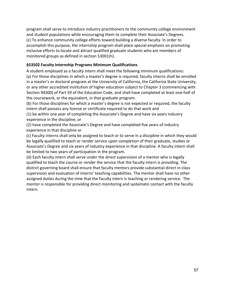program shall serve to introduce industry practitioners to the community college environment and student populations while encouraging them to complete their Associate's Degrees. (c) To enhance community college efforts toward building a diverse faculty. In order to accomplish this purpose, the internship program shall place special emphasis on promoting inclusive efforts to locate and attract qualified graduate students who are members of monitored groups as defined in section 53001(h).

## **§53502 Faculty Internship Programs Minimum Qualifications**

A student employed as a faculty intern shall meet the following minimum qualifications: (a) For those disciplines in which a master's degree is required, faculty interns shall be enrolled in a master's or doctoral program at the University of California, the California State University, or any other accredited institution of higher education subject to Chapter 3 (commencing with Section 94300) of Part 59 of the Education Code, and shall have completed at least one-half of the coursework, or the equivalent, in that graduate program.

(b) For those disciplines for which a master's degree is not expected or required, the faculty intern shall possess any license or certificate required to do that work and

(1) be within one year of completing the Associate's Degree and have six years industry experience in the discipline, or

(2) have completed the Associate's Degree and have completed five years of industry experience in that discipline or

(c) Faculty interns shall only be assigned to teach or to serve in a discipline in which they would be legally qualified to teach or render service upon completion of their graduate, studies or Associate's Degree and six years of industry experience in that discipline. A faculty intern shall be limited to two years of participation in the program.

(d) Each faculty intern shall serve under the direct supervision of a mentor who is legally qualified to teach the course or render the service that the faculty intern is providing. The district governing board shall ensure that faculty mentors provide substantial direct in-class supervision and evaluation of interns' teaching capabilities. The mentor shall have no other assigned duties during the time that the faculty intern is teaching or rendering service. The mentor is responsible for providing direct monitoring and systematic contact with the faculty intern.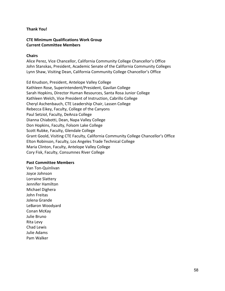#### **Thank You!**

## **CTE Minimum Qualifications Work Group Current Committee Members**

#### **Chairs**

Alice Perez, Vice Chancellor, California Community College Chancellor's Office John Stanskas, President, Academic Senate of the California Community Colleges Lynn Shaw, Visiting Dean, California Community College Chancellor's Office

Ed Knudson, President, Antelope Valley College Kathleen Rose, Superintendent/President, Gavilan College Sarah Hopkins, Director Human Resources, Santa Rosa Junior College Kathleen Welch, Vice President of Instruction, Cabrillo College Cheryl Aschenbauch, CTE Leadership Chair, Lassen College Rebecca Eikey, Faculty, College of the Canyons Paul Setziol, Faculty, DeAnza College Dianna Chiabotti, Dean, Napa Valley College Don Hopkins, Faculty, Folsom Lake College Scott Rubke, Faculty, Glendale College Grant Goold, Visiting CTE Faculty, California Community College Chancellor's Office Elton Robinson, Faculty, Los Angeles Trade Technical College Maria Clinton, Faculty, Antelope Valley College Cory Fisk, Faculty, Consumnes River College

#### **Past Committee Members**

Van Ton-Quinlivan Joyce Johnson Lorraine Slattery Jennifer Hamilton Michael Dighera John Freitas Jolena Grande LeBaron Woodyard Conan McKay Julie Bruno Rita Levy Chad Lewis Julie Adams Pam Walker